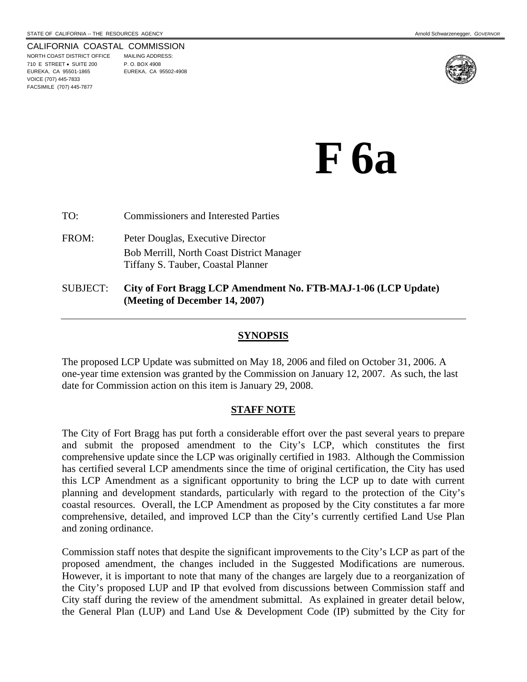#### CALIFORNIA COASTAL COMMISSION

NORTH COAST DISTRICT OFFICE MAILING ADDRESS: 710 E STREET • SUITE 200 P. O. BOX 4908 EUREKA, CA 95501-1865 EUREKA, CA 95502-4908 VOICE (707) 445-7833 FACSIMILE (707) 445-7877



# **F 6a**

TO: Commissioners and Interested Parties FROM: Peter Douglas, Executive Director Bob Merrill, North Coast District Manager Tiffany S. Tauber, Coastal Planner

## SUBJECT: **City of Fort Bragg LCP Amendment No. FTB-MAJ-1-06 (LCP Update) (Meeting of December 14, 2007)**

#### **SYNOPSIS**

The proposed LCP Update was submitted on May 18, 2006 and filed on October 31, 2006. A one-year time extension was granted by the Commission on January 12, 2007. As such, the last date for Commission action on this item is January 29, 2008.

#### **STAFF NOTE**

The City of Fort Bragg has put forth a considerable effort over the past several years to prepare and submit the proposed amendment to the City's LCP, which constitutes the first comprehensive update since the LCP was originally certified in 1983. Although the Commission has certified several LCP amendments since the time of original certification, the City has used this LCP Amendment as a significant opportunity to bring the LCP up to date with current planning and development standards, particularly with regard to the protection of the City's coastal resources. Overall, the LCP Amendment as proposed by the City constitutes a far more comprehensive, detailed, and improved LCP than the City's currently certified Land Use Plan and zoning ordinance.

Commission staff notes that despite the significant improvements to the City's LCP as part of the proposed amendment, the changes included in the Suggested Modifications are numerous. However, it is important to note that many of the changes are largely due to a reorganization of the City's proposed LUP and IP that evolved from discussions between Commission staff and City staff during the review of the amendment submittal. As explained in greater detail below, the General Plan (LUP) and Land Use & Development Code (IP) submitted by the City for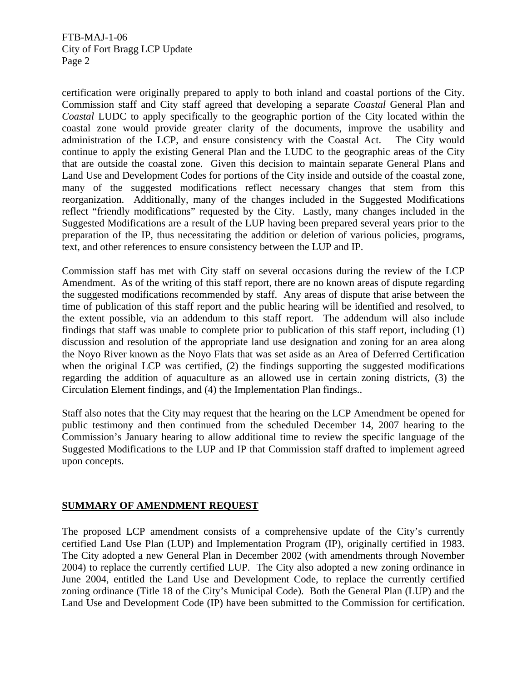certification were originally prepared to apply to both inland and coastal portions of the City. Commission staff and City staff agreed that developing a separate *Coastal* General Plan and *Coastal* LUDC to apply specifically to the geographic portion of the City located within the coastal zone would provide greater clarity of the documents, improve the usability and administration of the LCP, and ensure consistency with the Coastal Act. The City would continue to apply the existing General Plan and the LUDC to the geographic areas of the City that are outside the coastal zone. Given this decision to maintain separate General Plans and Land Use and Development Codes for portions of the City inside and outside of the coastal zone, many of the suggested modifications reflect necessary changes that stem from this reorganization. Additionally, many of the changes included in the Suggested Modifications reflect "friendly modifications" requested by the City. Lastly, many changes included in the Suggested Modifications are a result of the LUP having been prepared several years prior to the preparation of the IP, thus necessitating the addition or deletion of various policies, programs, text, and other references to ensure consistency between the LUP and IP.

Commission staff has met with City staff on several occasions during the review of the LCP Amendment. As of the writing of this staff report, there are no known areas of dispute regarding the suggested modifications recommended by staff. Any areas of dispute that arise between the time of publication of this staff report and the public hearing will be identified and resolved, to the extent possible, via an addendum to this staff report. The addendum will also include findings that staff was unable to complete prior to publication of this staff report, including (1) discussion and resolution of the appropriate land use designation and zoning for an area along the Noyo River known as the Noyo Flats that was set aside as an Area of Deferred Certification when the original LCP was certified, (2) the findings supporting the suggested modifications regarding the addition of aquaculture as an allowed use in certain zoning districts, (3) the Circulation Element findings, and (4) the Implementation Plan findings..

Staff also notes that the City may request that the hearing on the LCP Amendment be opened for public testimony and then continued from the scheduled December 14, 2007 hearing to the Commission's January hearing to allow additional time to review the specific language of the Suggested Modifications to the LUP and IP that Commission staff drafted to implement agreed upon concepts.

# **SUMMARY OF AMENDMENT REQUEST**

The proposed LCP amendment consists of a comprehensive update of the City's currently certified Land Use Plan (LUP) and Implementation Program (IP), originally certified in 1983. The City adopted a new General Plan in December 2002 (with amendments through November 2004) to replace the currently certified LUP. The City also adopted a new zoning ordinance in June 2004, entitled the Land Use and Development Code, to replace the currently certified zoning ordinance (Title 18 of the City's Municipal Code). Both the General Plan (LUP) and the Land Use and Development Code (IP) have been submitted to the Commission for certification.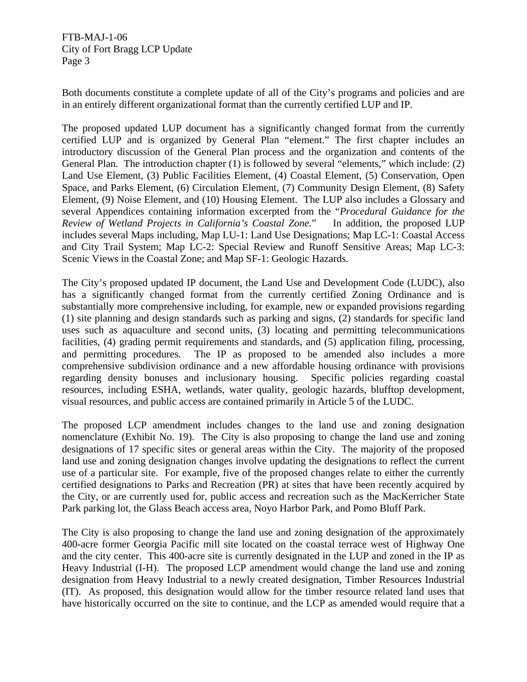Both documents constitute a complete update of all of the City's programs and policies and are in an entirely different organizational format than the currently certified LUP and IP.

The proposed updated LUP document has a significantly changed format from the currently certified LUP and is organized by General Plan "element." The first chapter includes an introductory discussion of the General Plan process and the organization and contents of the General Plan. The introduction chapter (1) is followed by several "elements," which include: (2) Land Use Element, (3) Public Facilities Element, (4) Coastal Element, (5) Conservation, Open Space, and Parks Element, (6) Circulation Element, (7) Community Design Element, (8) Safety Element, (9) Noise Element, and (10) Housing Element. The LUP also includes a Glossary and several Appendices containing information excerpted from the "*Procedural Guidance for the Review of Wetland Projects in California's Coastal Zone.*" In addition, the proposed LUP includes several Maps including, Map LU-1: Land Use Designations; Map LC-1: Coastal Access and City Trail System; Map LC-2: Special Review and Runoff Sensitive Areas; Map LC-3: Scenic Views in the Coastal Zone; and Map SF-1: Geologic Hazards.

The City's proposed updated IP document, the Land Use and Development Code (LUDC), also has a significantly changed format from the currently certified Zoning Ordinance and is substantially more comprehensive including, for example, new or expanded provisions regarding (1) site planning and design standards such as parking and signs, (2) standards for specific land uses such as aquaculture and second units, (3) locating and permitting telecommunications facilities, (4) grading permit requirements and standards, and (5) application filing, processing, and permitting procedures. The IP as proposed to be amended also includes a more comprehensive subdivision ordinance and a new affordable housing ordinance with provisions regarding density bonuses and inclusionary housing. Specific policies regarding coastal resources, including ESHA, wetlands, water quality, geologic hazards, blufftop development, visual resources, and public access are contained primarily in Article 5 of the LUDC.

The proposed LCP amendment includes changes to the land use and zoning designation nomenclature (Exhibit No. 19). The City is also proposing to change the land use and zoning designations of 17 specific sites or general areas within the City. The majority of the proposed land use and zoning designation changes involve updating the designations to reflect the current use of a particular site. For example, five of the proposed changes relate to either the currently certified designations to Parks and Recreation (PR) at sites that have been recently acquired by the City, or are currently used for, public access and recreation such as the MacKerricher State Park parking lot, the Glass Beach access area, Noyo Harbor Park, and Pomo Bluff Park.

The City is also proposing to change the land use and zoning designation of the approximately 400-acre former Georgia Pacific mill site located on the coastal terrace west of Highway One and the city center. This 400-acre site is currently designated in the LUP and zoned in the IP as Heavy Industrial (I-H). The proposed LCP amendment would change the land use and zoning designation from Heavy Industrial to a newly created designation, Timber Resources Industrial (IT). As proposed, this designation would allow for the timber resource related land uses that have historically occurred on the site to continue, and the LCP as amended would require that a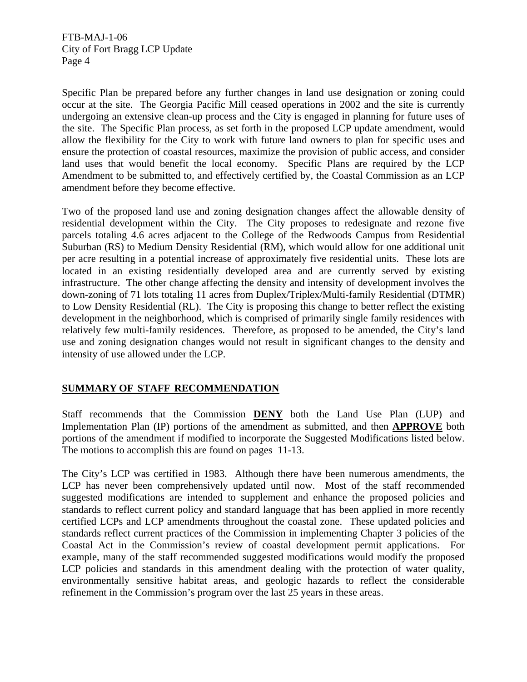Specific Plan be prepared before any further changes in land use designation or zoning could occur at the site. The Georgia Pacific Mill ceased operations in 2002 and the site is currently undergoing an extensive clean-up process and the City is engaged in planning for future uses of the site. The Specific Plan process, as set forth in the proposed LCP update amendment, would allow the flexibility for the City to work with future land owners to plan for specific uses and ensure the protection of coastal resources, maximize the provision of public access, and consider land uses that would benefit the local economy. Specific Plans are required by the LCP Amendment to be submitted to, and effectively certified by, the Coastal Commission as an LCP amendment before they become effective.

Two of the proposed land use and zoning designation changes affect the allowable density of residential development within the City. The City proposes to redesignate and rezone five parcels totaling 4.6 acres adjacent to the College of the Redwoods Campus from Residential Suburban (RS) to Medium Density Residential (RM), which would allow for one additional unit per acre resulting in a potential increase of approximately five residential units. These lots are located in an existing residentially developed area and are currently served by existing infrastructure. The other change affecting the density and intensity of development involves the down-zoning of 71 lots totaling 11 acres from Duplex/Triplex/Multi-family Residential (DTMR) to Low Density Residential (RL). The City is proposing this change to better reflect the existing development in the neighborhood, which is comprised of primarily single family residences with relatively few multi-family residences. Therefore, as proposed to be amended, the City's land use and zoning designation changes would not result in significant changes to the density and intensity of use allowed under the LCP.

# **SUMMARY OF STAFF RECOMMENDATION**

Staff recommends that the Commission **DENY** both the Land Use Plan (LUP) and Implementation Plan (IP) portions of the amendment as submitted, and then **APPROVE** both portions of the amendment if modified to incorporate the Suggested Modifications listed below. The motions to accomplish this are found on pages 11-13.

The City's LCP was certified in 1983. Although there have been numerous amendments, the LCP has never been comprehensively updated until now. Most of the staff recommended suggested modifications are intended to supplement and enhance the proposed policies and standards to reflect current policy and standard language that has been applied in more recently certified LCPs and LCP amendments throughout the coastal zone. These updated policies and standards reflect current practices of the Commission in implementing Chapter 3 policies of the Coastal Act in the Commission's review of coastal development permit applications. For example, many of the staff recommended suggested modifications would modify the proposed LCP policies and standards in this amendment dealing with the protection of water quality, environmentally sensitive habitat areas, and geologic hazards to reflect the considerable refinement in the Commission's program over the last 25 years in these areas.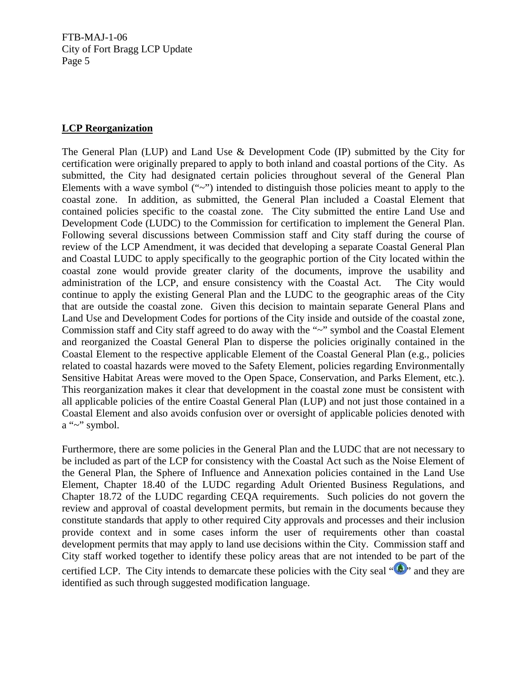## **LCP Reorganization**

The General Plan (LUP) and Land Use & Development Code (IP) submitted by the City for certification were originally prepared to apply to both inland and coastal portions of the City. As submitted, the City had designated certain policies throughout several of the General Plan Elements with a wave symbol  $(4\gamma)$  intended to distinguish those policies meant to apply to the coastal zone. In addition, as submitted, the General Plan included a Coastal Element that contained policies specific to the coastal zone. The City submitted the entire Land Use and Development Code (LUDC) to the Commission for certification to implement the General Plan. Following several discussions between Commission staff and City staff during the course of review of the LCP Amendment, it was decided that developing a separate Coastal General Plan and Coastal LUDC to apply specifically to the geographic portion of the City located within the coastal zone would provide greater clarity of the documents, improve the usability and administration of the LCP, and ensure consistency with the Coastal Act. The City would continue to apply the existing General Plan and the LUDC to the geographic areas of the City that are outside the coastal zone. Given this decision to maintain separate General Plans and Land Use and Development Codes for portions of the City inside and outside of the coastal zone, Commission staff and City staff agreed to do away with the "~" symbol and the Coastal Element and reorganized the Coastal General Plan to disperse the policies originally contained in the Coastal Element to the respective applicable Element of the Coastal General Plan (e.g., policies related to coastal hazards were moved to the Safety Element, policies regarding Environmentally Sensitive Habitat Areas were moved to the Open Space, Conservation, and Parks Element, etc.). This reorganization makes it clear that development in the coastal zone must be consistent with all applicable policies of the entire Coastal General Plan (LUP) and not just those contained in a Coastal Element and also avoids confusion over or oversight of applicable policies denoted with a "~" symbol.

Furthermore, there are some policies in the General Plan and the LUDC that are not necessary to be included as part of the LCP for consistency with the Coastal Act such as the Noise Element of the General Plan, the Sphere of Influence and Annexation policies contained in the Land Use Element, Chapter 18.40 of the LUDC regarding Adult Oriented Business Regulations, and Chapter 18.72 of the LUDC regarding CEQA requirements. Such policies do not govern the review and approval of coastal development permits, but remain in the documents because they constitute standards that apply to other required City approvals and processes and their inclusion provide context and in some cases inform the user of requirements other than coastal development permits that may apply to land use decisions within the City. Commission staff and City staff worked together to identify these policy areas that are not intended to be part of the certified LCP. The City intends to demarcate these policies with the City seal  $\mathbb{R}^n$  and they are identified as such through suggested modification language.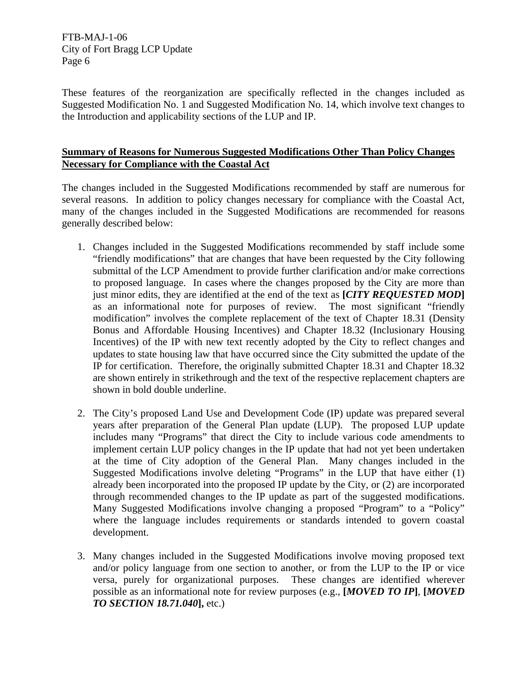These features of the reorganization are specifically reflected in the changes included as Suggested Modification No. 1 and Suggested Modification No. 14, which involve text changes to the Introduction and applicability sections of the LUP and IP.

## **Summary of Reasons for Numerous Suggested Modifications Other Than Policy Changes Necessary for Compliance with the Coastal Act**

The changes included in the Suggested Modifications recommended by staff are numerous for several reasons. In addition to policy changes necessary for compliance with the Coastal Act, many of the changes included in the Suggested Modifications are recommended for reasons generally described below:

- 1. Changes included in the Suggested Modifications recommended by staff include some "friendly modifications" that are changes that have been requested by the City following submittal of the LCP Amendment to provide further clarification and/or make corrections to proposed language. In cases where the changes proposed by the City are more than just minor edits, they are identified at the end of the text as **[***CITY REQUESTED MOD***]** as an informational note for purposes of review. The most significant "friendly modification" involves the complete replacement of the text of Chapter 18.31 (Density Bonus and Affordable Housing Incentives) and Chapter 18.32 (Inclusionary Housing Incentives) of the IP with new text recently adopted by the City to reflect changes and updates to state housing law that have occurred since the City submitted the update of the IP for certification. Therefore, the originally submitted Chapter 18.31 and Chapter 18.32 are shown entirely in strikethrough and the text of the respective replacement chapters are shown in bold double underline.
- 2. The City's proposed Land Use and Development Code (IP) update was prepared several years after preparation of the General Plan update (LUP). The proposed LUP update includes many "Programs" that direct the City to include various code amendments to implement certain LUP policy changes in the IP update that had not yet been undertaken at the time of City adoption of the General Plan. Many changes included in the Suggested Modifications involve deleting "Programs" in the LUP that have either (1) already been incorporated into the proposed IP update by the City, or (2) are incorporated through recommended changes to the IP update as part of the suggested modifications. Many Suggested Modifications involve changing a proposed "Program" to a "Policy" where the language includes requirements or standards intended to govern coastal development.
- 3. Many changes included in the Suggested Modifications involve moving proposed text and/or policy language from one section to another, or from the LUP to the IP or vice versa, purely for organizational purposes. These changes are identified wherever possible as an informational note for review purposes (e.g., **[***MOVED TO IP***]**, **[***MOVED TO SECTION 18.71.040***],** etc.)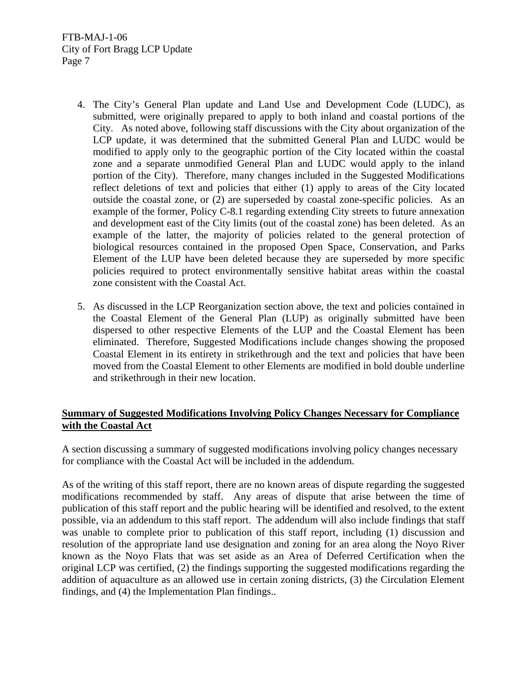- 4. The City's General Plan update and Land Use and Development Code (LUDC), as submitted, were originally prepared to apply to both inland and coastal portions of the City. As noted above, following staff discussions with the City about organization of the LCP update, it was determined that the submitted General Plan and LUDC would be modified to apply only to the geographic portion of the City located within the coastal zone and a separate unmodified General Plan and LUDC would apply to the inland portion of the City). Therefore, many changes included in the Suggested Modifications reflect deletions of text and policies that either (1) apply to areas of the City located outside the coastal zone, or (2) are superseded by coastal zone-specific policies. As an example of the former, Policy C-8.1 regarding extending City streets to future annexation and development east of the City limits (out of the coastal zone) has been deleted. As an example of the latter, the majority of policies related to the general protection of biological resources contained in the proposed Open Space, Conservation, and Parks Element of the LUP have been deleted because they are superseded by more specific policies required to protect environmentally sensitive habitat areas within the coastal zone consistent with the Coastal Act.
- 5. As discussed in the LCP Reorganization section above, the text and policies contained in the Coastal Element of the General Plan (LUP) as originally submitted have been dispersed to other respective Elements of the LUP and the Coastal Element has been eliminated. Therefore, Suggested Modifications include changes showing the proposed Coastal Element in its entirety in strikethrough and the text and policies that have been moved from the Coastal Element to other Elements are modified in bold double underline and strikethrough in their new location.

## **Summary of Suggested Modifications Involving Policy Changes Necessary for Compliance with the Coastal Act**

A section discussing a summary of suggested modifications involving policy changes necessary for compliance with the Coastal Act will be included in the addendum.

As of the writing of this staff report, there are no known areas of dispute regarding the suggested modifications recommended by staff. Any areas of dispute that arise between the time of publication of this staff report and the public hearing will be identified and resolved, to the extent possible, via an addendum to this staff report. The addendum will also include findings that staff was unable to complete prior to publication of this staff report, including (1) discussion and resolution of the appropriate land use designation and zoning for an area along the Noyo River known as the Noyo Flats that was set aside as an Area of Deferred Certification when the original LCP was certified, (2) the findings supporting the suggested modifications regarding the addition of aquaculture as an allowed use in certain zoning districts, (3) the Circulation Element findings, and (4) the Implementation Plan findings..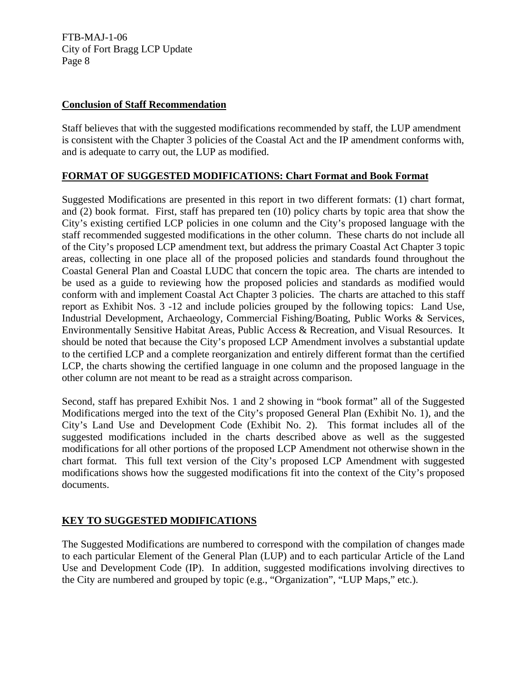## **Conclusion of Staff Recommendation**

Staff believes that with the suggested modifications recommended by staff, the LUP amendment is consistent with the Chapter 3 policies of the Coastal Act and the IP amendment conforms with, and is adequate to carry out, the LUP as modified.

# **FORMAT OF SUGGESTED MODIFICATIONS: Chart Format and Book Format**

Suggested Modifications are presented in this report in two different formats: (1) chart format, and (2) book format. First, staff has prepared ten (10) policy charts by topic area that show the City's existing certified LCP policies in one column and the City's proposed language with the staff recommended suggested modifications in the other column. These charts do not include all of the City's proposed LCP amendment text, but address the primary Coastal Act Chapter 3 topic areas, collecting in one place all of the proposed policies and standards found throughout the Coastal General Plan and Coastal LUDC that concern the topic area. The charts are intended to be used as a guide to reviewing how the proposed policies and standards as modified would conform with and implement Coastal Act Chapter 3 policies. The charts are attached to this staff report as Exhibit Nos. 3 -12 and include policies grouped by the following topics: Land Use, Industrial Development, Archaeology, Commercial Fishing/Boating, Public Works & Services, Environmentally Sensitive Habitat Areas, Public Access & Recreation, and Visual Resources. It should be noted that because the City's proposed LCP Amendment involves a substantial update to the certified LCP and a complete reorganization and entirely different format than the certified LCP, the charts showing the certified language in one column and the proposed language in the other column are not meant to be read as a straight across comparison.

Second, staff has prepared Exhibit Nos. 1 and 2 showing in "book format" all of the Suggested Modifications merged into the text of the City's proposed General Plan (Exhibit No. 1), and the City's Land Use and Development Code (Exhibit No. 2). This format includes all of the suggested modifications included in the charts described above as well as the suggested modifications for all other portions of the proposed LCP Amendment not otherwise shown in the chart format. This full text version of the City's proposed LCP Amendment with suggested modifications shows how the suggested modifications fit into the context of the City's proposed documents.

# **KEY TO SUGGESTED MODIFICATIONS**

The Suggested Modifications are numbered to correspond with the compilation of changes made to each particular Element of the General Plan (LUP) and to each particular Article of the Land Use and Development Code (IP). In addition, suggested modifications involving directives to the City are numbered and grouped by topic (e.g., "Organization", "LUP Maps," etc.).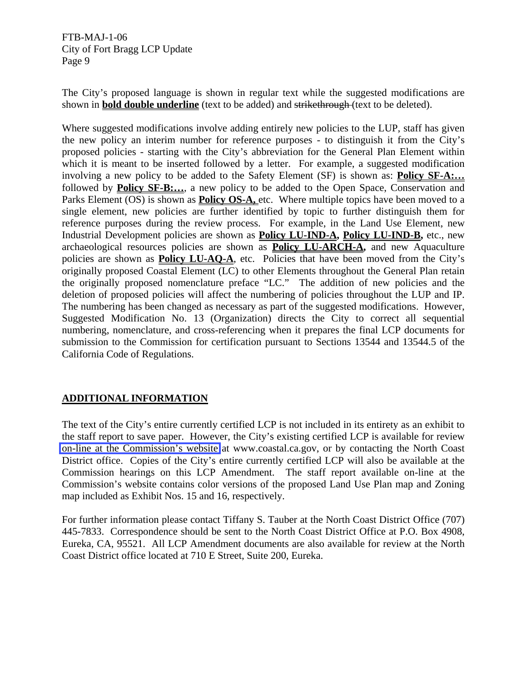The City's proposed language is shown in regular text while the suggested modifications are shown in **bold double underline** (text to be added) and strikethrough (text to be deleted).

Where suggested modifications involve adding entirely new policies to the LUP, staff has given the new policy an interim number for reference purposes - to distinguish it from the City's proposed policies - starting with the City's abbreviation for the General Plan Element within which it is meant to be inserted followed by a letter. For example, a suggested modification involving a new policy to be added to the Safety Element (SF) is shown as: **Policy SF-A:…** followed by **Policy SF-B:…**, a new policy to be added to the Open Space, Conservation and Parks Element (OS) is shown as **Policy OS-A**, etc. Where multiple topics have been moved to a single element, new policies are further identified by topic to further distinguish them for reference purposes during the review process. For example, in the Land Use Element, new Industrial Development policies are shown as **Policy LU-IND-A, Policy LU-IND-B,** etc., new archaeological resources policies are shown as **Policy LU-ARCH-A,** and new Aquaculture policies are shown as **Policy LU-AQ-A**, etc. Policies that have been moved from the City's originally proposed Coastal Element (LC) to other Elements throughout the General Plan retain the originally proposed nomenclature preface "LC." The addition of new policies and the deletion of proposed policies will affect the numbering of policies throughout the LUP and IP. The numbering has been changed as necessary as part of the suggested modifications. However, Suggested Modification No. 13 (Organization) directs the City to correct all sequential numbering, nomenclature, and cross-referencing when it prepares the final LCP documents for submission to the Commission for certification pursuant to Sections 13544 and 13544.5 of the California Code of Regulations.

# **ADDITIONAL INFORMATION**

The text of the City's entire currently certified LCP is not included in its entirety as an exhibit to the staff report to save paper. However, the City's existing certified LCP is available for review [on-line at the Commission's website](http://documents.coastal.ca.gov/reports/2007/12/F6a-12-2007-a5.pdf) at www.coastal.ca.gov, or by contacting the North Coast District office. Copies of the City's entire currently certified LCP will also be available at the Commission hearings on this LCP Amendment. The staff report available on-line at the Commission's website contains color versions of the proposed Land Use Plan map and Zoning map included as Exhibit Nos. 15 and 16, respectively.

For further information please contact Tiffany S. Tauber at the North Coast District Office (707) 445-7833. Correspondence should be sent to the North Coast District Office at P.O. Box 4908, Eureka, CA, 95521. All LCP Amendment documents are also available for review at the North Coast District office located at 710 E Street, Suite 200, Eureka.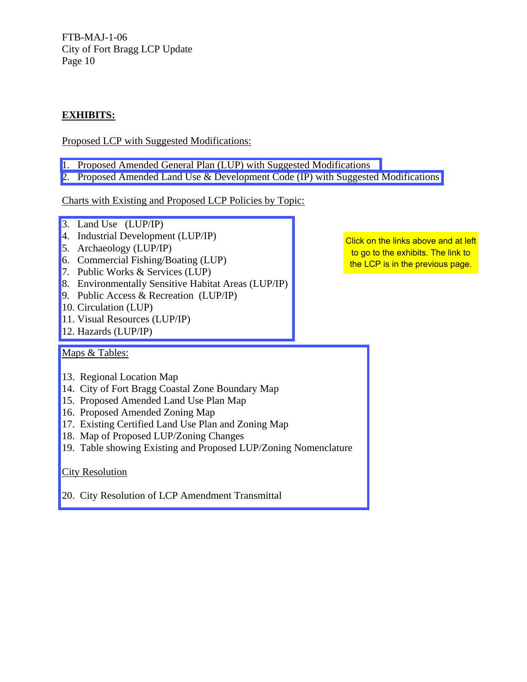# **EXHIBITS:**

# Proposed LCP with Suggested Modifications:

- [1. Proposed Amended General Plan \(LUP\) with Suggested Modifications](http://documents.coastal.ca.gov/reports/2007/12/F6a-12-2007-a1.pdf)
- [2. Proposed Amended Land Use & Development Code \(IP\) with Suggested Modifications](http://documents.coastal.ca.gov/reports/2007/12/F6a-12-2007-a2.pdf)

## Charts with Existing and Proposed LCP Policies by Topic:

- 3. Land Use (LUP/IP)
- 4. Industrial Development (LUP/IP)
- 5. Archaeology (LUP/IP)
- 6. Commercial Fishing/Boating (LUP)
- 7. Public Works & Services (LUP)
- [8. Environmentally Sensitive Habitat Areas \(LUP/IP\)](http://documents.coastal.ca.gov/reports/2007/12/F6a-12-2007-a3.pdf)
- 9. Public Access & Recreation (LUP/IP)
- 10. Circulation (LUP)
- 11. Visual Resources (LUP/IP)
- 12. Hazards (LUP/IP)

## Maps & Tables:

- 13. Regional Location Map
- 14. City of Fort Bragg Coastal Zone Boundary Map
- 15. Proposed Amended Land Use Plan Map
- 16. Proposed Amended Zoning Map
- 17. Existing Certified Land Use Plan and Zoning Map
- 18. Map of Proposed LUP/Zoning Changes
- [19. Table showing Existing and Proposed LUP/Zoning Nomenclature](http://documents.coastal.ca.gov/reports/2007/12/F6a-12-2007-a4.pdf)

## City Resolution

20. City Resolution of LCP Amendment Transmittal

Click on the links above and at left to go to the exhibits. The link to the LCP is in the previous page.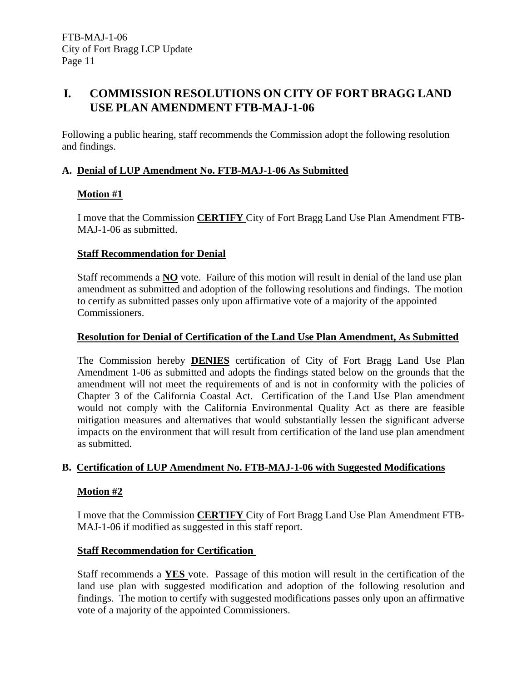# **I. COMMISSION RESOLUTIONS ON CITY OF FORT BRAGG LAND USE PLAN AMENDMENT FTB-MAJ-1-06**

Following a public hearing, staff recommends the Commission adopt the following resolution and findings.

# **A. Denial of LUP Amendment No. FTB-MAJ-1-06 As Submitted**

# **Motion #1**

I move that the Commission **CERTIFY** City of Fort Bragg Land Use Plan Amendment FTB-MAJ-1-06 as submitted.

# **Staff Recommendation for Denial**

Staff recommends a **NO** vote. Failure of this motion will result in denial of the land use plan amendment as submitted and adoption of the following resolutions and findings. The motion to certify as submitted passes only upon affirmative vote of a majority of the appointed Commissioners.

# **Resolution for Denial of Certification of the Land Use Plan Amendment, As Submitted**

The Commission hereby **DENIES** certification of City of Fort Bragg Land Use Plan Amendment 1-06 as submitted and adopts the findings stated below on the grounds that the amendment will not meet the requirements of and is not in conformity with the policies of Chapter 3 of the California Coastal Act. Certification of the Land Use Plan amendment would not comply with the California Environmental Quality Act as there are feasible mitigation measures and alternatives that would substantially lessen the significant adverse impacts on the environment that will result from certification of the land use plan amendment as submitted.

# **B. Certification of LUP Amendment No. FTB-MAJ-1-06 with Suggested Modifications**

# **Motion #2**

I move that the Commission **CERTIFY** City of Fort Bragg Land Use Plan Amendment FTB-MAJ-1-06 if modified as suggested in this staff report.

# **Staff Recommendation for Certification**

Staff recommends a **YES** vote. Passage of this motion will result in the certification of the land use plan with suggested modification and adoption of the following resolution and findings. The motion to certify with suggested modifications passes only upon an affirmative vote of a majority of the appointed Commissioners.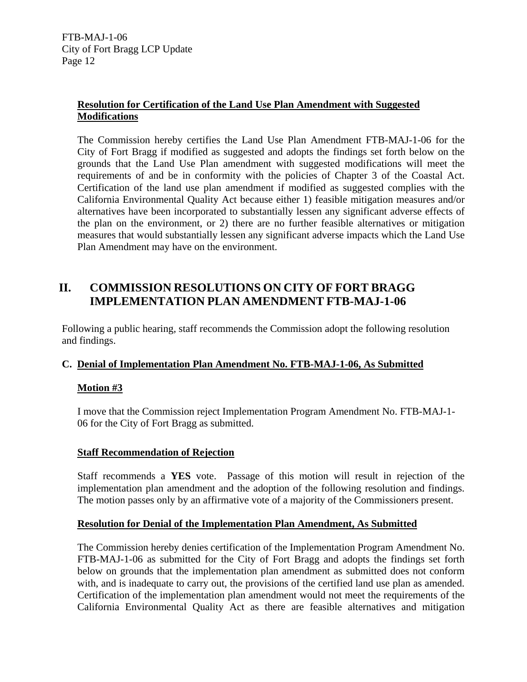# **Resolution for Certification of the Land Use Plan Amendment with Suggested Modifications**

The Commission hereby certifies the Land Use Plan Amendment FTB-MAJ-1-06 for the City of Fort Bragg if modified as suggested and adopts the findings set forth below on the grounds that the Land Use Plan amendment with suggested modifications will meet the requirements of and be in conformity with the policies of Chapter 3 of the Coastal Act. Certification of the land use plan amendment if modified as suggested complies with the California Environmental Quality Act because either 1) feasible mitigation measures and/or alternatives have been incorporated to substantially lessen any significant adverse effects of the plan on the environment, or 2) there are no further feasible alternatives or mitigation measures that would substantially lessen any significant adverse impacts which the Land Use Plan Amendment may have on the environment.

# **II. COMMISSION RESOLUTIONS ON CITY OF FORT BRAGG IMPLEMENTATION PLAN AMENDMENT FTB-MAJ-1-06**

Following a public hearing, staff recommends the Commission adopt the following resolution and findings.

# **C. Denial of Implementation Plan Amendment No. FTB-MAJ-1-06, As Submitted**

# **Motion #3**

I move that the Commission reject Implementation Program Amendment No. FTB-MAJ-1- 06 for the City of Fort Bragg as submitted.

# **Staff Recommendation of Rejection**

Staff recommends a **YES** vote. Passage of this motion will result in rejection of the implementation plan amendment and the adoption of the following resolution and findings. The motion passes only by an affirmative vote of a majority of the Commissioners present.

## **Resolution for Denial of the Implementation Plan Amendment, As Submitted**

The Commission hereby denies certification of the Implementation Program Amendment No. FTB-MAJ-1-06 as submitted for the City of Fort Bragg and adopts the findings set forth below on grounds that the implementation plan amendment as submitted does not conform with, and is inadequate to carry out, the provisions of the certified land use plan as amended. Certification of the implementation plan amendment would not meet the requirements of the California Environmental Quality Act as there are feasible alternatives and mitigation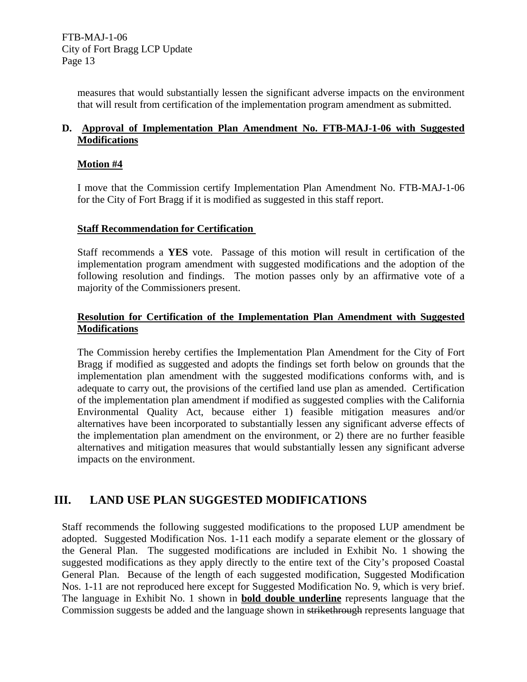> measures that would substantially lessen the significant adverse impacts on the environment that will result from certification of the implementation program amendment as submitted.

# **D. Approval of Implementation Plan Amendment No. FTB-MAJ-1-06 with Suggested Modifications**

## **Motion #4**

I move that the Commission certify Implementation Plan Amendment No. FTB-MAJ-1-06 for the City of Fort Bragg if it is modified as suggested in this staff report.

## **Staff Recommendation for Certification**

Staff recommends a **YES** vote. Passage of this motion will result in certification of the implementation program amendment with suggested modifications and the adoption of the following resolution and findings. The motion passes only by an affirmative vote of a majority of the Commissioners present.

# **Resolution for Certification of the Implementation Plan Amendment with Suggested Modifications**

The Commission hereby certifies the Implementation Plan Amendment for the City of Fort Bragg if modified as suggested and adopts the findings set forth below on grounds that the implementation plan amendment with the suggested modifications conforms with, and is adequate to carry out, the provisions of the certified land use plan as amended. Certification of the implementation plan amendment if modified as suggested complies with the California Environmental Quality Act, because either 1) feasible mitigation measures and/or alternatives have been incorporated to substantially lessen any significant adverse effects of the implementation plan amendment on the environment, or 2) there are no further feasible alternatives and mitigation measures that would substantially lessen any significant adverse impacts on the environment.

# **III. LAND USE PLAN SUGGESTED MODIFICATIONS**

Staff recommends the following suggested modifications to the proposed LUP amendment be adopted. Suggested Modification Nos. 1-11 each modify a separate element or the glossary of the General Plan. The suggested modifications are included in Exhibit No. 1 showing the suggested modifications as they apply directly to the entire text of the City's proposed Coastal General Plan. Because of the length of each suggested modification, Suggested Modification Nos. 1-11 are not reproduced here except for Suggested Modification No. 9, which is very brief. The language in Exhibit No. 1 shown in **bold double underline** represents language that the Commission suggests be added and the language shown in strikethrough represents language that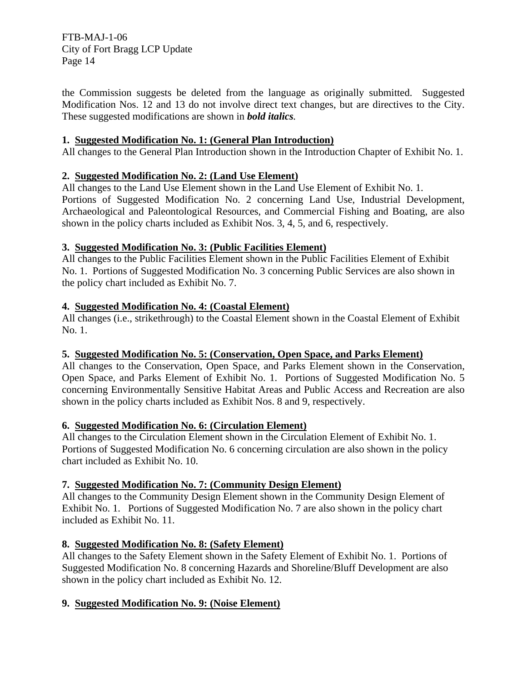the Commission suggests be deleted from the language as originally submitted. Suggested Modification Nos. 12 and 13 do not involve direct text changes, but are directives to the City. These suggested modifications are shown in *bold italics.*

# **1. Suggested Modification No. 1: (General Plan Introduction)**

All changes to the General Plan Introduction shown in the Introduction Chapter of Exhibit No. 1.

# **2. Suggested Modification No. 2: (Land Use Element)**

All changes to the Land Use Element shown in the Land Use Element of Exhibit No. 1. Portions of Suggested Modification No. 2 concerning Land Use, Industrial Development, Archaeological and Paleontological Resources, and Commercial Fishing and Boating, are also shown in the policy charts included as Exhibit Nos. 3, 4, 5, and 6, respectively.

## **3. Suggested Modification No. 3: (Public Facilities Element)**

All changes to the Public Facilities Element shown in the Public Facilities Element of Exhibit No. 1. Portions of Suggested Modification No. 3 concerning Public Services are also shown in the policy chart included as Exhibit No. 7.

## **4. Suggested Modification No. 4: (Coastal Element)**

All changes (i.e., strikethrough) to the Coastal Element shown in the Coastal Element of Exhibit No. 1.

## **5. Suggested Modification No. 5: (Conservation, Open Space, and Parks Element)**

All changes to the Conservation, Open Space, and Parks Element shown in the Conservation, Open Space, and Parks Element of Exhibit No. 1. Portions of Suggested Modification No. 5 concerning Environmentally Sensitive Habitat Areas and Public Access and Recreation are also shown in the policy charts included as Exhibit Nos. 8 and 9, respectively.

## **6. Suggested Modification No. 6: (Circulation Element)**

All changes to the Circulation Element shown in the Circulation Element of Exhibit No. 1. Portions of Suggested Modification No. 6 concerning circulation are also shown in the policy chart included as Exhibit No. 10.

# **7. Suggested Modification No. 7: (Community Design Element)**

All changes to the Community Design Element shown in the Community Design Element of Exhibit No. 1. Portions of Suggested Modification No. 7 are also shown in the policy chart included as Exhibit No. 11.

# **8. Suggested Modification No. 8: (Safety Element)**

All changes to the Safety Element shown in the Safety Element of Exhibit No. 1. Portions of Suggested Modification No. 8 concerning Hazards and Shoreline/Bluff Development are also shown in the policy chart included as Exhibit No. 12.

# **9. Suggested Modification No. 9: (Noise Element)**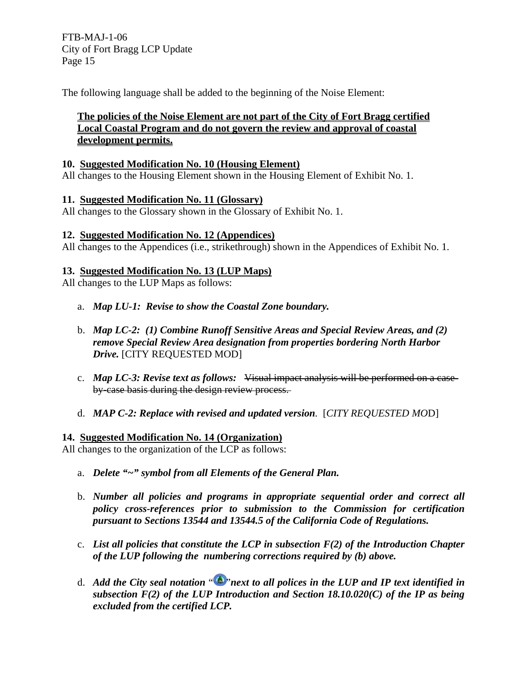The following language shall be added to the beginning of the Noise Element:

# **The policies of the Noise Element are not part of the City of Fort Bragg certified Local Coastal Program and do not govern the review and approval of coastal development permits.**

## **10. Suggested Modification No. 10 (Housing Element)**

All changes to the Housing Element shown in the Housing Element of Exhibit No. 1.

#### **11. Suggested Modification No. 11 (Glossary)**

All changes to the Glossary shown in the Glossary of Exhibit No. 1.

## **12. Suggested Modification No. 12 (Appendices)**

All changes to the Appendices (i.e., strikethrough) shown in the Appendices of Exhibit No. 1.

## **13. Suggested Modification No. 13 (LUP Maps)**

All changes to the LUP Maps as follows:

- a. *Map LU-1: Revise to show the Coastal Zone boundary.*
- b. *Map LC-2: (1) Combine Runoff Sensitive Areas and Special Review Areas, and (2) remove Special Review Area designation from properties bordering North Harbor Drive.* [CITY REQUESTED MOD]
- c. *Map LC-3: Revise text as follows:* Visual impact analysis will be performed on a caseby-case basis during the design review process.
- d. *MAP C-2: Replace with revised and updated version.* [*CITY REQUESTED MO*D]

#### **14. Suggested Modification No. 14 (Organization)**

All changes to the organization of the LCP as follows:

- a. *Delete "~" symbol from all Elements of the General Plan.*
- b. *Number all policies and programs in appropriate sequential order and correct all policy cross-references prior to submission to the Commission for certification pursuant to Sections 13544 and 13544.5 of the California Code of Regulations.*
- c. *List all policies that constitute the LCP in subsection F(2) of the Introduction Chapter of the LUP following the numbering corrections required by (b) above.*
- d. *Add the City seal notation* " "*next to all polices in the LUP and IP text identified in subsection F(2) of the LUP Introduction and Section 18.10.020(C) of the IP as being excluded from the certified LCP.*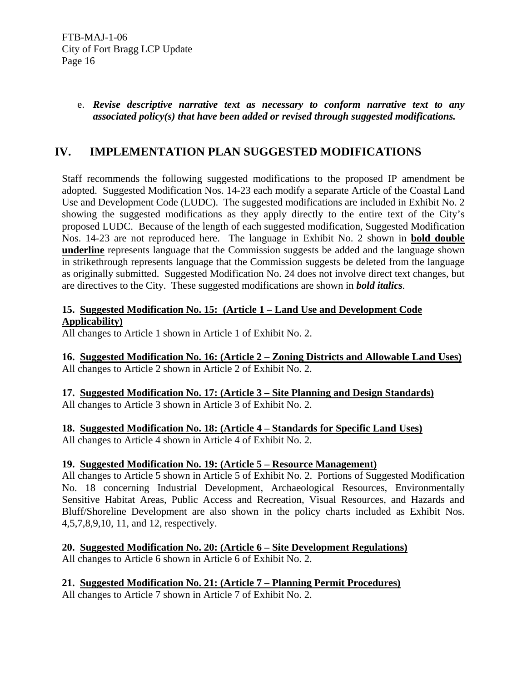# e. *Revise descriptive narrative text as necessary to conform narrative text to any associated policy(s) that have been added or revised through suggested modifications.*

# **IV. IMPLEMENTATION PLAN SUGGESTED MODIFICATIONS**

Staff recommends the following suggested modifications to the proposed IP amendment be adopted. Suggested Modification Nos. 14-23 each modify a separate Article of the Coastal Land Use and Development Code (LUDC). The suggested modifications are included in Exhibit No. 2 showing the suggested modifications as they apply directly to the entire text of the City's proposed LUDC. Because of the length of each suggested modification, Suggested Modification Nos. 14-23 are not reproduced here. The language in Exhibit No. 2 shown in **bold double underline** represents language that the Commission suggests be added and the language shown in strikethrough represents language that the Commission suggests be deleted from the language as originally submitted. Suggested Modification No. 24 does not involve direct text changes, but are directives to the City. These suggested modifications are shown in *bold italics.*

# **15. Suggested Modification No. 15: (Article 1 – Land Use and Development Code Applicability)**

All changes to Article 1 shown in Article 1 of Exhibit No. 2.

**16. Suggested Modification No. 16: (Article 2 – Zoning Districts and Allowable Land Uses)** All changes to Article 2 shown in Article 2 of Exhibit No. 2.

**17. Suggested Modification No. 17: (Article 3 – Site Planning and Design Standards)** All changes to Article 3 shown in Article 3 of Exhibit No. 2.

**18. Suggested Modification No. 18: (Article 4 – Standards for Specific Land Uses)**

All changes to Article 4 shown in Article 4 of Exhibit No. 2.

# **19. Suggested Modification No. 19: (Article 5 – Resource Management)**

All changes to Article 5 shown in Article 5 of Exhibit No. 2. Portions of Suggested Modification No. 18 concerning Industrial Development, Archaeological Resources, Environmentally Sensitive Habitat Areas, Public Access and Recreation, Visual Resources, and Hazards and Bluff/Shoreline Development are also shown in the policy charts included as Exhibit Nos. 4,5,7,8,9,10, 11, and 12, respectively.

**20. Suggested Modification No. 20: (Article 6 – Site Development Regulations)** All changes to Article 6 shown in Article 6 of Exhibit No. 2.

# **21. Suggested Modification No. 21: (Article 7 – Planning Permit Procedures)**

All changes to Article 7 shown in Article 7 of Exhibit No. 2.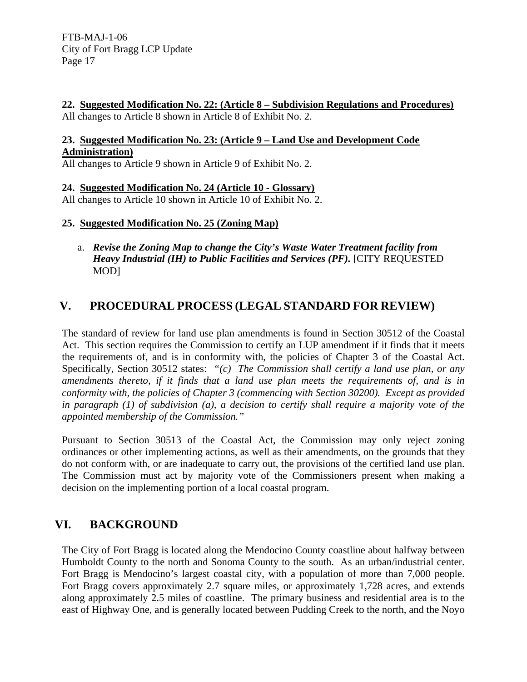**22. Suggested Modification No. 22: (Article 8 – Subdivision Regulations and Procedures)** All changes to Article 8 shown in Article 8 of Exhibit No. 2.

# **23. Suggested Modification No. 23: (Article 9 – Land Use and Development Code Administration)**

All changes to Article 9 shown in Article 9 of Exhibit No. 2.

# **24. Suggested Modification No. 24 (Article 10 - Glossary)**

All changes to Article 10 shown in Article 10 of Exhibit No. 2.

# **25. Suggested Modification No. 25 (Zoning Map)**

a. *Revise the Zoning Map to change the City's Waste Water Treatment facility from Heavy Industrial (IH) to Public Facilities and Services (PF).* [CITY REQUESTED MOD]

# **V. PROCEDURAL PROCESS (LEGAL STANDARD FOR REVIEW)**

The standard of review for land use plan amendments is found in Section 30512 of the Coastal Act. This section requires the Commission to certify an LUP amendment if it finds that it meets the requirements of, and is in conformity with, the policies of Chapter 3 of the Coastal Act. Specifically, Section 30512 states: *"(c) The Commission shall certify a land use plan, or any amendments thereto, if it finds that a land use plan meets the requirements of, and is in conformity with, the policies of Chapter 3 (commencing with Section 30200). Except as provided in paragraph (1) of subdivision (a), a decision to certify shall require a majority vote of the appointed membership of the Commission."* 

Pursuant to Section 30513 of the Coastal Act, the Commission may only reject zoning ordinances or other implementing actions, as well as their amendments, on the grounds that they do not conform with, or are inadequate to carry out, the provisions of the certified land use plan. The Commission must act by majority vote of the Commissioners present when making a decision on the implementing portion of a local coastal program.

# **VI. BACKGROUND**

The City of Fort Bragg is located along the Mendocino County coastline about halfway between Humboldt County to the north and Sonoma County to the south. As an urban/industrial center. Fort Bragg is Mendocino's largest coastal city, with a population of more than 7,000 people. Fort Bragg covers approximately 2.7 square miles, or approximately 1,728 acres, and extends along approximately 2.5 miles of coastline. The primary business and residential area is to the east of Highway One, and is generally located between Pudding Creek to the north, and the Noyo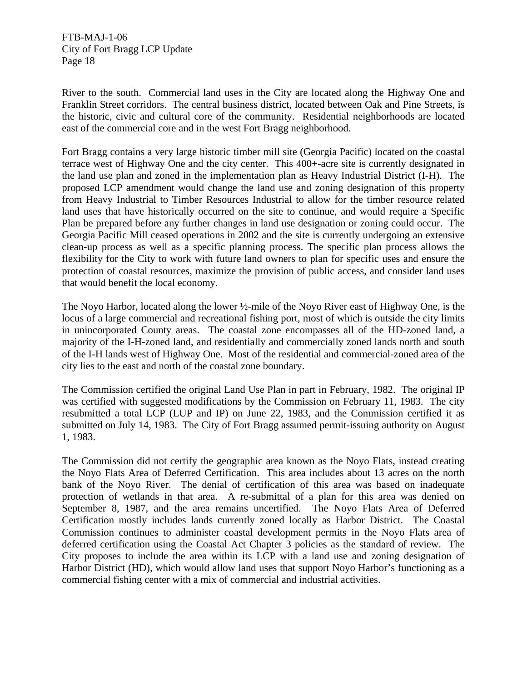River to the south. Commercial land uses in the City are located along the Highway One and Franklin Street corridors. The central business district, located between Oak and Pine Streets, is the historic, civic and cultural core of the community. Residential neighborhoods are located east of the commercial core and in the west Fort Bragg neighborhood.

Fort Bragg contains a very large historic timber mill site (Georgia Pacific) located on the coastal terrace west of Highway One and the city center. This 400+-acre site is currently designated in the land use plan and zoned in the implementation plan as Heavy Industrial District (I-H). The proposed LCP amendment would change the land use and zoning designation of this property from Heavy Industrial to Timber Resources Industrial to allow for the timber resource related land uses that have historically occurred on the site to continue, and would require a Specific Plan be prepared before any further changes in land use designation or zoning could occur. The Georgia Pacific Mill ceased operations in 2002 and the site is currently undergoing an extensive clean-up process as well as a specific planning process. The specific plan process allows the flexibility for the City to work with future land owners to plan for specific uses and ensure the protection of coastal resources, maximize the provision of public access, and consider land uses that would benefit the local economy.

The Noyo Harbor, located along the lower ½-mile of the Noyo River east of Highway One, is the locus of a large commercial and recreational fishing port, most of which is outside the city limits in unincorporated County areas. The coastal zone encompasses all of the HD-zoned land, a majority of the I-H-zoned land, and residentially and commercially zoned lands north and south of the I-H lands west of Highway One. Most of the residential and commercial-zoned area of the city lies to the east and north of the coastal zone boundary.

The Commission certified the original Land Use Plan in part in February, 1982. The original IP was certified with suggested modifications by the Commission on February 11, 1983. The city resubmitted a total LCP (LUP and IP) on June 22, 1983, and the Commission certified it as submitted on July 14, 1983. The City of Fort Bragg assumed permit-issuing authority on August 1, 1983.

The Commission did not certify the geographic area known as the Noyo Flats, instead creating the Noyo Flats Area of Deferred Certification. This area includes about 13 acres on the north bank of the Noyo River. The denial of certification of this area was based on inadequate protection of wetlands in that area. A re-submittal of a plan for this area was denied on September 8, 1987, and the area remains uncertified. The Noyo Flats Area of Deferred Certification mostly includes lands currently zoned locally as Harbor District. The Coastal Commission continues to administer coastal development permits in the Noyo Flats area of deferred certification using the Coastal Act Chapter 3 policies as the standard of review. The City proposes to include the area within its LCP with a land use and zoning designation of Harbor District (HD), which would allow land uses that support Noyo Harbor's functioning as a commercial fishing center with a mix of commercial and industrial activities.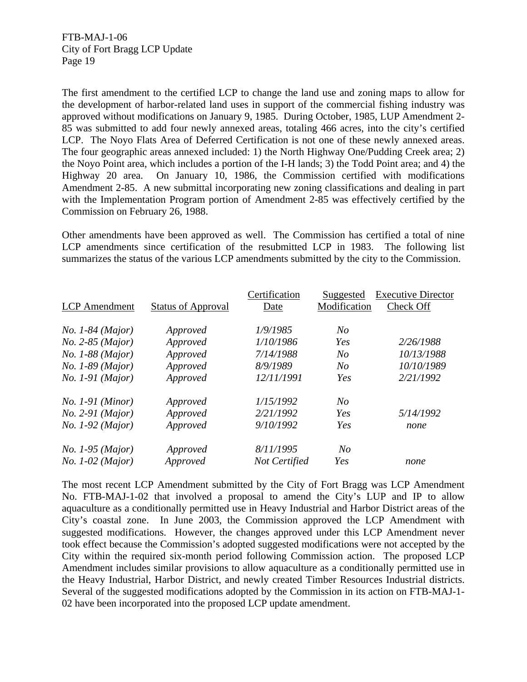The first amendment to the certified LCP to change the land use and zoning maps to allow for the development of harbor-related land uses in support of the commercial fishing industry was approved without modifications on January 9, 1985. During October, 1985, LUP Amendment 2- 85 was submitted to add four newly annexed areas, totaling 466 acres, into the city's certified LCP. The Noyo Flats Area of Deferred Certification is not one of these newly annexed areas. The four geographic areas annexed included: 1) the North Highway One/Pudding Creek area; 2) the Noyo Point area, which includes a portion of the I-H lands; 3) the Todd Point area; and 4) the Highway 20 area. On January 10, 1986, the Commission certified with modifications Amendment 2-85. A new submittal incorporating new zoning classifications and dealing in part with the Implementation Program portion of Amendment 2-85 was effectively certified by the Commission on February 26, 1988.

Other amendments have been approved as well. The Commission has certified a total of nine LCP amendments since certification of the resubmitted LCP in 1983. The following list summarizes the status of the various LCP amendments submitted by the city to the Commission.

|                      |                           | Certification | Suggested      | <b>Executive Director</b> |
|----------------------|---------------------------|---------------|----------------|---------------------------|
| <b>LCP</b> Amendment | <b>Status of Approval</b> | Date          | Modification   | Check Off                 |
|                      |                           |               |                |                           |
| $No. 1-84 (Major)$   | Approved                  | 1/9/1985      | $N_{O}$        |                           |
| No. 2-85 (Major)     | Approved                  | 1/10/1986     | Yes            | 2/26/1988                 |
| No. 1-88 (Major)     | Approved                  | 7/14/1988     | N <sub>O</sub> | 10/13/1988                |
| $No. 1-89 (Major)$   | Approved                  | 8/9/1989      | N <sub>O</sub> | 10/10/1989                |
| $No. 1-91 (Major)$   | Approved                  | 12/11/1991    | Yes            | 2/21/1992                 |
| $No. 1-91 (Minor)$   | Approved                  | 1/15/1992     | N <sub>O</sub> |                           |
| $No. 2-91 (Major)$   | Approved                  | 2/21/1992     | Yes            | 5/14/1992                 |
| $No. 1-92 (Major)$   | Approved                  | 9/10/1992     | Yes            | none                      |
| $No. 1-95 (Major)$   | Approved                  | 8/11/1995     | N <sub>O</sub> |                           |
| $No. 1-02 (Major)$   | Approved                  | Not Certified | Yes            | none                      |

The most recent LCP Amendment submitted by the City of Fort Bragg was LCP Amendment No. FTB-MAJ-1-02 that involved a proposal to amend the City's LUP and IP to allow aquaculture as a conditionally permitted use in Heavy Industrial and Harbor District areas of the City's coastal zone. In June 2003, the Commission approved the LCP Amendment with suggested modifications. However, the changes approved under this LCP Amendment never took effect because the Commission's adopted suggested modifications were not accepted by the City within the required six-month period following Commission action. The proposed LCP Amendment includes similar provisions to allow aquaculture as a conditionally permitted use in the Heavy Industrial, Harbor District, and newly created Timber Resources Industrial districts. Several of the suggested modifications adopted by the Commission in its action on FTB-MAJ-1- 02 have been incorporated into the proposed LCP update amendment.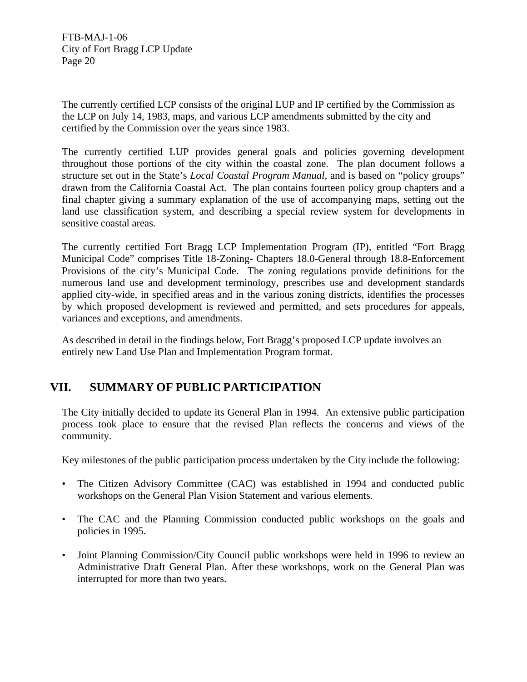The currently certified LCP consists of the original LUP and IP certified by the Commission as the LCP on July 14, 1983, maps, and various LCP amendments submitted by the city and certified by the Commission over the years since 1983.

The currently certified LUP provides general goals and policies governing development throughout those portions of the city within the coastal zone. The plan document follows a structure set out in the State's *Local Coastal Program Manual*, and is based on "policy groups" drawn from the California Coastal Act. The plan contains fourteen policy group chapters and a final chapter giving a summary explanation of the use of accompanying maps, setting out the land use classification system, and describing a special review system for developments in sensitive coastal areas.

The currently certified Fort Bragg LCP Implementation Program (IP), entitled "Fort Bragg Municipal Code" comprises Title 18-Zoning- Chapters 18.0-General through 18.8-Enforcement Provisions of the city's Municipal Code. The zoning regulations provide definitions for the numerous land use and development terminology, prescribes use and development standards applied city-wide, in specified areas and in the various zoning districts, identifies the processes by which proposed development is reviewed and permitted, and sets procedures for appeals, variances and exceptions, and amendments.

As described in detail in the findings below, Fort Bragg's proposed LCP update involves an entirely new Land Use Plan and Implementation Program format.

# **VII. SUMMARY OF PUBLIC PARTICIPATION**

The City initially decided to update its General Plan in 1994. An extensive public participation process took place to ensure that the revised Plan reflects the concerns and views of the community.

Key milestones of the public participation process undertaken by the City include the following:

- The Citizen Advisory Committee (CAC) was established in 1994 and conducted public workshops on the General Plan Vision Statement and various elements.
- The CAC and the Planning Commission conducted public workshops on the goals and policies in 1995.
- Joint Planning Commission/City Council public workshops were held in 1996 to review an Administrative Draft General Plan. After these workshops, work on the General Plan was interrupted for more than two years.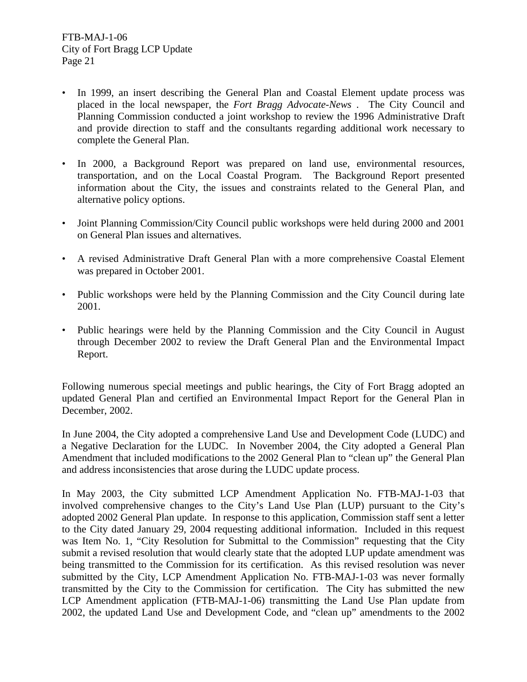- In 1999, an insert describing the General Plan and Coastal Element update process was placed in the local newspaper, the *Fort Bragg Advocate-News* . The City Council and Planning Commission conducted a joint workshop to review the 1996 Administrative Draft and provide direction to staff and the consultants regarding additional work necessary to complete the General Plan.
- In 2000, a Background Report was prepared on land use, environmental resources, transportation, and on the Local Coastal Program. The Background Report presented information about the City, the issues and constraints related to the General Plan, and alternative policy options.
- Joint Planning Commission/City Council public workshops were held during 2000 and 2001 on General Plan issues and alternatives.
- A revised Administrative Draft General Plan with a more comprehensive Coastal Element was prepared in October 2001.
- Public workshops were held by the Planning Commission and the City Council during late 2001.
- Public hearings were held by the Planning Commission and the City Council in August through December 2002 to review the Draft General Plan and the Environmental Impact Report.

Following numerous special meetings and public hearings, the City of Fort Bragg adopted an updated General Plan and certified an Environmental Impact Report for the General Plan in December, 2002.

In June 2004, the City adopted a comprehensive Land Use and Development Code (LUDC) and a Negative Declaration for the LUDC. In November 2004, the City adopted a General Plan Amendment that included modifications to the 2002 General Plan to "clean up" the General Plan and address inconsistencies that arose during the LUDC update process.

In May 2003, the City submitted LCP Amendment Application No. FTB-MAJ-1-03 that involved comprehensive changes to the City's Land Use Plan (LUP) pursuant to the City's adopted 2002 General Plan update. In response to this application, Commission staff sent a letter to the City dated January 29, 2004 requesting additional information. Included in this request was Item No. 1, "City Resolution for Submittal to the Commission" requesting that the City submit a revised resolution that would clearly state that the adopted LUP update amendment was being transmitted to the Commission for its certification. As this revised resolution was never submitted by the City, LCP Amendment Application No. FTB-MAJ-1-03 was never formally transmitted by the City to the Commission for certification. The City has submitted the new LCP Amendment application (FTB-MAJ-1-06) transmitting the Land Use Plan update from 2002, the updated Land Use and Development Code, and "clean up" amendments to the 2002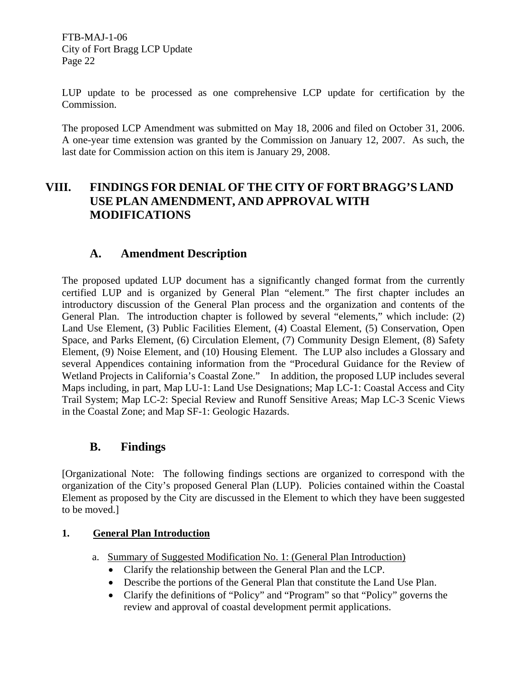LUP update to be processed as one comprehensive LCP update for certification by the Commission.

The proposed LCP Amendment was submitted on May 18, 2006 and filed on October 31, 2006. A one-year time extension was granted by the Commission on January 12, 2007. As such, the last date for Commission action on this item is January 29, 2008.

# **VIII. FINDINGS FOR DENIAL OF THE CITY OF FORT BRAGG'S LAND USE PLAN AMENDMENT, AND APPROVAL WITH MODIFICATIONS**

# **A. Amendment Description**

The proposed updated LUP document has a significantly changed format from the currently certified LUP and is organized by General Plan "element." The first chapter includes an introductory discussion of the General Plan process and the organization and contents of the General Plan. The introduction chapter is followed by several "elements," which include: (2) Land Use Element, (3) Public Facilities Element, (4) Coastal Element, (5) Conservation, Open Space, and Parks Element, (6) Circulation Element, (7) Community Design Element, (8) Safety Element, (9) Noise Element, and (10) Housing Element. The LUP also includes a Glossary and several Appendices containing information from the "Procedural Guidance for the Review of Wetland Projects in California's Coastal Zone." In addition, the proposed LUP includes several Maps including, in part, Map LU-1: Land Use Designations; Map LC-1: Coastal Access and City Trail System; Map LC-2: Special Review and Runoff Sensitive Areas; Map LC-3 Scenic Views in the Coastal Zone; and Map SF-1: Geologic Hazards.

# **B. Findings**

[Organizational Note: The following findings sections are organized to correspond with the organization of the City's proposed General Plan (LUP). Policies contained within the Coastal Element as proposed by the City are discussed in the Element to which they have been suggested to be moved.]

# **1. General Plan Introduction**

- a. Summary of Suggested Modification No. 1: (General Plan Introduction)
	- Clarify the relationship between the General Plan and the LCP.
	- Describe the portions of the General Plan that constitute the Land Use Plan.
	- Clarify the definitions of "Policy" and "Program" so that "Policy" governs the review and approval of coastal development permit applications.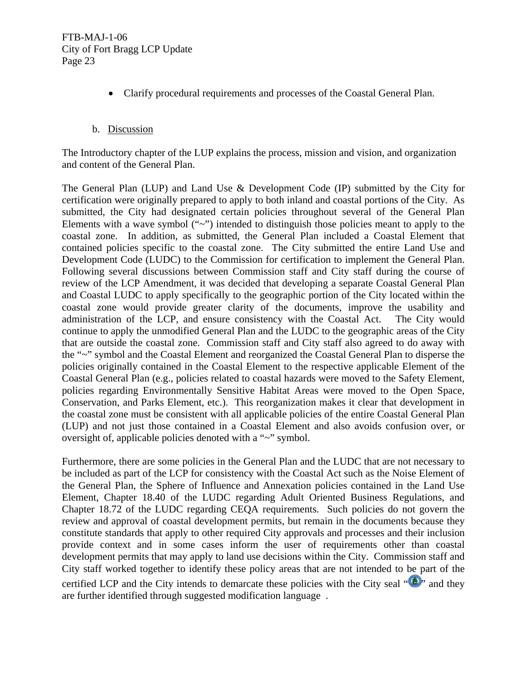• Clarify procedural requirements and processes of the Coastal General Plan.

## b. Discussion

The Introductory chapter of the LUP explains the process, mission and vision, and organization and content of the General Plan.

The General Plan (LUP) and Land Use & Development Code (IP) submitted by the City for certification were originally prepared to apply to both inland and coastal portions of the City. As submitted, the City had designated certain policies throughout several of the General Plan Elements with a wave symbol  $(4\gamma)$  intended to distinguish those policies meant to apply to the coastal zone. In addition, as submitted, the General Plan included a Coastal Element that contained policies specific to the coastal zone. The City submitted the entire Land Use and Development Code (LUDC) to the Commission for certification to implement the General Plan. Following several discussions between Commission staff and City staff during the course of review of the LCP Amendment, it was decided that developing a separate Coastal General Plan and Coastal LUDC to apply specifically to the geographic portion of the City located within the coastal zone would provide greater clarity of the documents, improve the usability and administration of the LCP, and ensure consistency with the Coastal Act. The City would continue to apply the unmodified General Plan and the LUDC to the geographic areas of the City that are outside the coastal zone. Commission staff and City staff also agreed to do away with the "~" symbol and the Coastal Element and reorganized the Coastal General Plan to disperse the policies originally contained in the Coastal Element to the respective applicable Element of the Coastal General Plan (e.g., policies related to coastal hazards were moved to the Safety Element, policies regarding Environmentally Sensitive Habitat Areas were moved to the Open Space, Conservation, and Parks Element, etc.). This reorganization makes it clear that development in the coastal zone must be consistent with all applicable policies of the entire Coastal General Plan (LUP) and not just those contained in a Coastal Element and also avoids confusion over, or oversight of, applicable policies denoted with a "~" symbol.

Furthermore, there are some policies in the General Plan and the LUDC that are not necessary to be included as part of the LCP for consistency with the Coastal Act such as the Noise Element of the General Plan, the Sphere of Influence and Annexation policies contained in the Land Use Element, Chapter 18.40 of the LUDC regarding Adult Oriented Business Regulations, and Chapter 18.72 of the LUDC regarding CEQA requirements. Such policies do not govern the review and approval of coastal development permits, but remain in the documents because they constitute standards that apply to other required City approvals and processes and their inclusion provide context and in some cases inform the user of requirements other than coastal development permits that may apply to land use decisions within the City. Commission staff and City staff worked together to identify these policy areas that are not intended to be part of the certified LCP and the City intends to demarcate these policies with the City seal  $\mathbf{A}$ , and they are further identified through suggested modification language .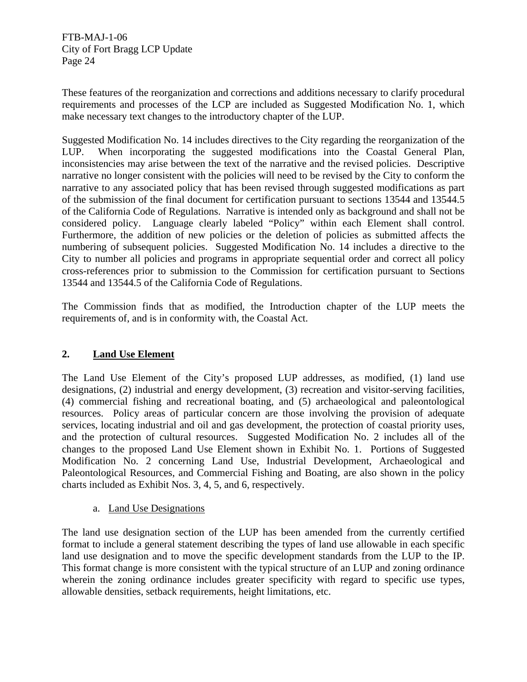These features of the reorganization and corrections and additions necessary to clarify procedural requirements and processes of the LCP are included as Suggested Modification No. 1, which make necessary text changes to the introductory chapter of the LUP.

Suggested Modification No. 14 includes directives to the City regarding the reorganization of the LUP. When incorporating the suggested modifications into the Coastal General Plan, inconsistencies may arise between the text of the narrative and the revised policies. Descriptive narrative no longer consistent with the policies will need to be revised by the City to conform the narrative to any associated policy that has been revised through suggested modifications as part of the submission of the final document for certification pursuant to sections 13544 and 13544.5 of the California Code of Regulations. Narrative is intended only as background and shall not be considered policy. Language clearly labeled "Policy" within each Element shall control. Furthermore, the addition of new policies or the deletion of policies as submitted affects the numbering of subsequent policies. Suggested Modification No. 14 includes a directive to the City to number all policies and programs in appropriate sequential order and correct all policy cross-references prior to submission to the Commission for certification pursuant to Sections 13544 and 13544.5 of the California Code of Regulations.

The Commission finds that as modified, the Introduction chapter of the LUP meets the requirements of, and is in conformity with, the Coastal Act.

# **2. Land Use Element**

The Land Use Element of the City's proposed LUP addresses, as modified, (1) land use designations, (2) industrial and energy development, (3) recreation and visitor-serving facilities, (4) commercial fishing and recreational boating, and (5) archaeological and paleontological resources. Policy areas of particular concern are those involving the provision of adequate services, locating industrial and oil and gas development, the protection of coastal priority uses, and the protection of cultural resources. Suggested Modification No. 2 includes all of the changes to the proposed Land Use Element shown in Exhibit No. 1. Portions of Suggested Modification No. 2 concerning Land Use, Industrial Development, Archaeological and Paleontological Resources, and Commercial Fishing and Boating, are also shown in the policy charts included as Exhibit Nos. 3, 4, 5, and 6, respectively.

a. Land Use Designations

The land use designation section of the LUP has been amended from the currently certified format to include a general statement describing the types of land use allowable in each specific land use designation and to move the specific development standards from the LUP to the IP. This format change is more consistent with the typical structure of an LUP and zoning ordinance wherein the zoning ordinance includes greater specificity with regard to specific use types, allowable densities, setback requirements, height limitations, etc.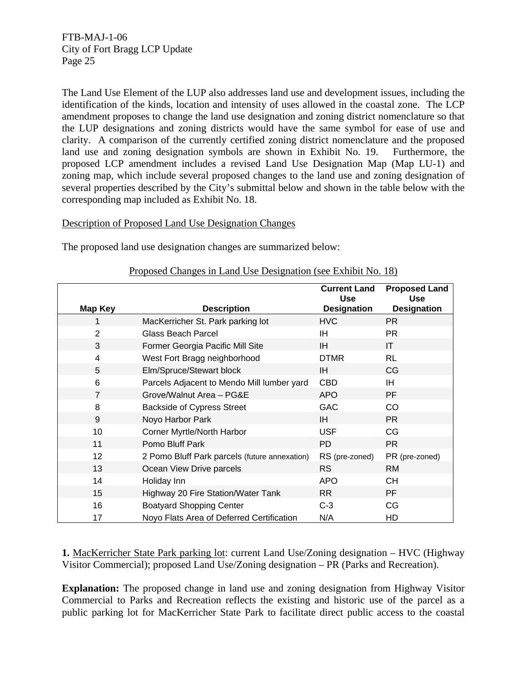The Land Use Element of the LUP also addresses land use and development issues, including the identification of the kinds, location and intensity of uses allowed in the coastal zone. The LCP amendment proposes to change the land use designation and zoning district nomenclature so that the LUP designations and zoning districts would have the same symbol for ease of use and clarity. A comparison of the currently certified zoning district nomenclature and the proposed land use and zoning designation symbols are shown in Exhibit No. 19. Furthermore, the proposed LCP amendment includes a revised Land Use Designation Map (Map LU-1) and zoning map, which include several proposed changes to the land use and zoning designation of several properties described by the City's submittal below and shown in the table below with the corresponding map included as Exhibit No. 18.

## Description of Proposed Land Use Designation Changes

The proposed land use designation changes are summarized below:

|                |                                               | <b>Current Land</b><br><b>Use</b> | <b>Proposed Land</b><br><b>Use</b> |
|----------------|-----------------------------------------------|-----------------------------------|------------------------------------|
| <b>Map Key</b> | <b>Description</b>                            | <b>Designation</b>                | <b>Designation</b>                 |
| 1              | MacKerricher St. Park parking lot             | <b>HVC</b>                        | PR.                                |
| $\overline{2}$ | <b>Glass Beach Parcel</b>                     | ΙH                                | <b>PR</b>                          |
| 3              | Former Georgia Pacific Mill Site              | IH                                | IT                                 |
| $\overline{4}$ | West Fort Bragg neighborhood                  | <b>DTMR</b>                       | <b>RL</b>                          |
| 5              | Elm/Spruce/Stewart block                      | IH                                | CG                                 |
| 6              | Parcels Adjacent to Mendo Mill lumber yard    | <b>CBD</b>                        | IH.                                |
| $\overline{7}$ | Grove/Walnut Area - PG&E                      | <b>APO</b>                        | PF                                 |
| 8              | <b>Backside of Cypress Street</b>             | GAC                               | CO                                 |
| 9              | Noyo Harbor Park                              | IH                                | <b>PR</b>                          |
| 10             | Corner Myrtle/North Harbor                    | <b>USF</b>                        | CG                                 |
| 11             | Pomo Bluff Park                               | <b>PD</b>                         | <b>PR</b>                          |
| 12             | 2 Pomo Bluff Park parcels (future annexation) | RS (pre-zoned)                    | PR (pre-zoned)                     |
| 13             | Ocean View Drive parcels                      | <b>RS</b>                         | <b>RM</b>                          |
| 14             | Holiday Inn                                   | <b>APO</b>                        | <b>CH</b>                          |
| 15             | Highway 20 Fire Station/Water Tank            | <b>RR</b>                         | <b>PF</b>                          |
| 16             | <b>Boatyard Shopping Center</b>               | $C-3$                             | CG                                 |
| 17             | Noyo Flats Area of Deferred Certification     | N/A                               | HD                                 |

## Proposed Changes in Land Use Designation (see Exhibit No. 18)

**1.** MacKerricher State Park parking lot: current Land Use/Zoning designation – HVC (Highway Visitor Commercial); proposed Land Use/Zoning designation – PR (Parks and Recreation).

**Explanation:** The proposed change in land use and zoning designation from Highway Visitor Commercial to Parks and Recreation reflects the existing and historic use of the parcel as a public parking lot for MacKerricher State Park to facilitate direct public access to the coastal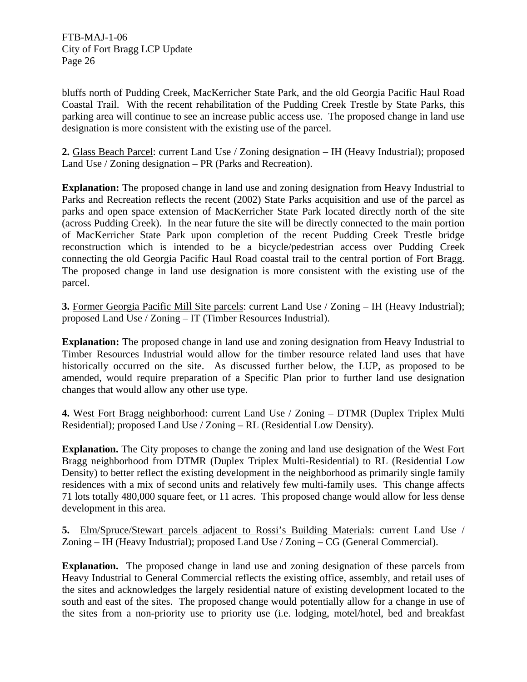bluffs north of Pudding Creek, MacKerricher State Park, and the old Georgia Pacific Haul Road Coastal Trail. With the recent rehabilitation of the Pudding Creek Trestle by State Parks, this parking area will continue to see an increase public access use. The proposed change in land use designation is more consistent with the existing use of the parcel.

**2.** Glass Beach Parcel: current Land Use / Zoning designation – IH (Heavy Industrial); proposed Land Use / Zoning designation – PR (Parks and Recreation).

**Explanation:** The proposed change in land use and zoning designation from Heavy Industrial to Parks and Recreation reflects the recent (2002) State Parks acquisition and use of the parcel as parks and open space extension of MacKerricher State Park located directly north of the site (across Pudding Creek). In the near future the site will be directly connected to the main portion of MacKerricher State Park upon completion of the recent Pudding Creek Trestle bridge reconstruction which is intended to be a bicycle/pedestrian access over Pudding Creek connecting the old Georgia Pacific Haul Road coastal trail to the central portion of Fort Bragg. The proposed change in land use designation is more consistent with the existing use of the parcel.

**3.** Former Georgia Pacific Mill Site parcels: current Land Use / Zoning – IH (Heavy Industrial); proposed Land Use / Zoning – IT (Timber Resources Industrial).

**Explanation:** The proposed change in land use and zoning designation from Heavy Industrial to Timber Resources Industrial would allow for the timber resource related land uses that have historically occurred on the site. As discussed further below, the LUP, as proposed to be amended, would require preparation of a Specific Plan prior to further land use designation changes that would allow any other use type.

**4.** West Fort Bragg neighborhood: current Land Use / Zoning – DTMR (Duplex Triplex Multi Residential); proposed Land Use / Zoning – RL (Residential Low Density).

**Explanation.** The City proposes to change the zoning and land use designation of the West Fort Bragg neighborhood from DTMR (Duplex Triplex Multi-Residential) to RL (Residential Low Density) to better reflect the existing development in the neighborhood as primarily single family residences with a mix of second units and relatively few multi-family uses. This change affects 71 lots totally 480,000 square feet, or 11 acres. This proposed change would allow for less dense development in this area.

**5.** Elm/Spruce/Stewart parcels adjacent to Rossi's Building Materials: current Land Use / Zoning – IH (Heavy Industrial); proposed Land Use / Zoning – CG (General Commercial).

**Explanation.** The proposed change in land use and zoning designation of these parcels from Heavy Industrial to General Commercial reflects the existing office, assembly, and retail uses of the sites and acknowledges the largely residential nature of existing development located to the south and east of the sites. The proposed change would potentially allow for a change in use of the sites from a non-priority use to priority use (i.e. lodging, motel/hotel, bed and breakfast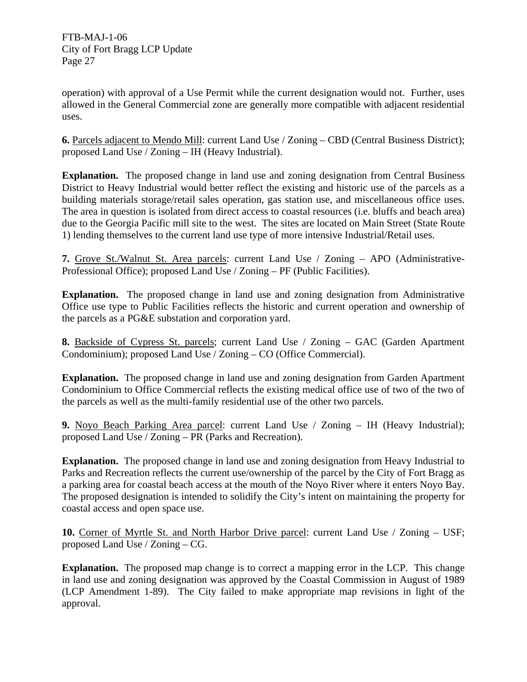operation) with approval of a Use Permit while the current designation would not. Further, uses allowed in the General Commercial zone are generally more compatible with adjacent residential uses.

**6.** Parcels adjacent to Mendo Mill: current Land Use / Zoning – CBD (Central Business District); proposed Land Use / Zoning – IH (Heavy Industrial).

**Explanation.** The proposed change in land use and zoning designation from Central Business District to Heavy Industrial would better reflect the existing and historic use of the parcels as a building materials storage/retail sales operation, gas station use, and miscellaneous office uses. The area in question is isolated from direct access to coastal resources (i.e. bluffs and beach area) due to the Georgia Pacific mill site to the west. The sites are located on Main Street (State Route 1) lending themselves to the current land use type of more intensive Industrial/Retail uses.

**7.** Grove St./Walnut St. Area parcels: current Land Use / Zoning – APO (Administrative-Professional Office); proposed Land Use / Zoning – PF (Public Facilities).

**Explanation.** The proposed change in land use and zoning designation from Administrative Office use type to Public Facilities reflects the historic and current operation and ownership of the parcels as a PG&E substation and corporation yard.

**8.** Backside of Cypress St. parcels; current Land Use / Zoning – GAC (Garden Apartment Condominium); proposed Land Use / Zoning – CO (Office Commercial).

**Explanation.** The proposed change in land use and zoning designation from Garden Apartment Condominium to Office Commercial reflects the existing medical office use of two of the two of the parcels as well as the multi-family residential use of the other two parcels.

**9.** Noyo Beach Parking Area parcel: current Land Use / Zoning – IH (Heavy Industrial); proposed Land Use / Zoning – PR (Parks and Recreation).

**Explanation.** The proposed change in land use and zoning designation from Heavy Industrial to Parks and Recreation reflects the current use/ownership of the parcel by the City of Fort Bragg as a parking area for coastal beach access at the mouth of the Noyo River where it enters Noyo Bay. The proposed designation is intended to solidify the City's intent on maintaining the property for coastal access and open space use.

**10.** Corner of Myrtle St. and North Harbor Drive parcel: current Land Use / Zoning – USF; proposed Land Use / Zoning – CG.

**Explanation.** The proposed map change is to correct a mapping error in the LCP. This change in land use and zoning designation was approved by the Coastal Commission in August of 1989 (LCP Amendment 1-89). The City failed to make appropriate map revisions in light of the approval.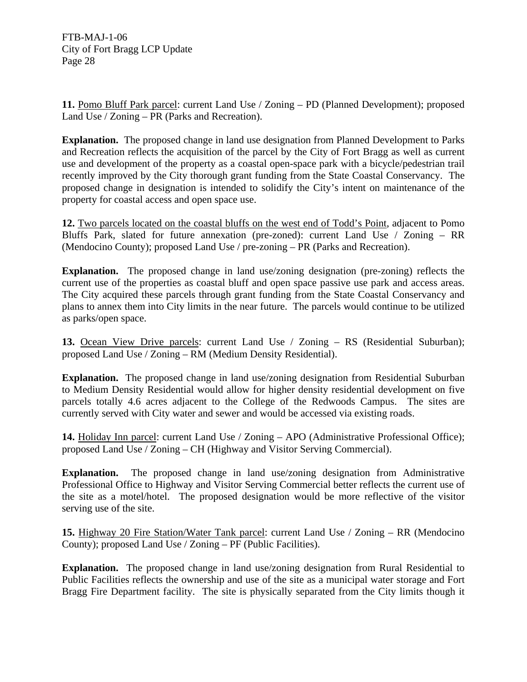**11.** Pomo Bluff Park parcel: current Land Use / Zoning – PD (Planned Development); proposed Land Use / Zoning – PR (Parks and Recreation).

**Explanation.** The proposed change in land use designation from Planned Development to Parks and Recreation reflects the acquisition of the parcel by the City of Fort Bragg as well as current use and development of the property as a coastal open-space park with a bicycle/pedestrian trail recently improved by the City thorough grant funding from the State Coastal Conservancy. The proposed change in designation is intended to solidify the City's intent on maintenance of the property for coastal access and open space use.

**12.** Two parcels located on the coastal bluffs on the west end of Todd's Point, adjacent to Pomo Bluffs Park, slated for future annexation (pre-zoned): current Land Use / Zoning – RR (Mendocino County); proposed Land Use / pre-zoning – PR (Parks and Recreation).

**Explanation.** The proposed change in land use/zoning designation (pre-zoning) reflects the current use of the properties as coastal bluff and open space passive use park and access areas. The City acquired these parcels through grant funding from the State Coastal Conservancy and plans to annex them into City limits in the near future. The parcels would continue to be utilized as parks/open space.

**13.** Ocean View Drive parcels: current Land Use / Zoning – RS (Residential Suburban); proposed Land Use / Zoning – RM (Medium Density Residential).

**Explanation.** The proposed change in land use/zoning designation from Residential Suburban to Medium Density Residential would allow for higher density residential development on five parcels totally 4.6 acres adjacent to the College of the Redwoods Campus. The sites are currently served with City water and sewer and would be accessed via existing roads.

**14.** Holiday Inn parcel: current Land Use / Zoning – APO (Administrative Professional Office); proposed Land Use / Zoning – CH (Highway and Visitor Serving Commercial).

**Explanation.** The proposed change in land use/zoning designation from Administrative Professional Office to Highway and Visitor Serving Commercial better reflects the current use of the site as a motel/hotel. The proposed designation would be more reflective of the visitor serving use of the site.

**15.** Highway 20 Fire Station/Water Tank parcel: current Land Use / Zoning – RR (Mendocino County); proposed Land Use / Zoning – PF (Public Facilities).

**Explanation.** The proposed change in land use/zoning designation from Rural Residential to Public Facilities reflects the ownership and use of the site as a municipal water storage and Fort Bragg Fire Department facility. The site is physically separated from the City limits though it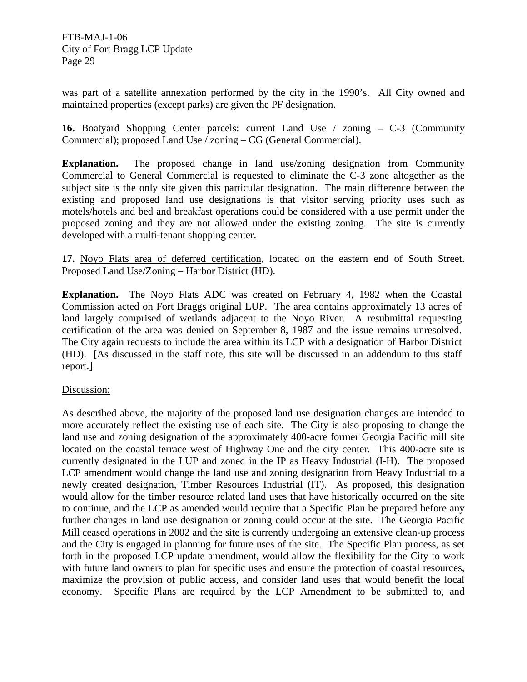was part of a satellite annexation performed by the city in the 1990's. All City owned and maintained properties (except parks) are given the PF designation.

**16.** Boatyard Shopping Center parcels: current Land Use / zoning – C-3 (Community Commercial); proposed Land Use / zoning – CG (General Commercial).

**Explanation.** The proposed change in land use/zoning designation from Community Commercial to General Commercial is requested to eliminate the C-3 zone altogether as the subject site is the only site given this particular designation. The main difference between the existing and proposed land use designations is that visitor serving priority uses such as motels/hotels and bed and breakfast operations could be considered with a use permit under the proposed zoning and they are not allowed under the existing zoning. The site is currently developed with a multi-tenant shopping center.

**17.** Noyo Flats area of deferred certification, located on the eastern end of South Street. Proposed Land Use/Zoning – Harbor District (HD).

**Explanation.** The Noyo Flats ADC was created on February 4, 1982 when the Coastal Commission acted on Fort Braggs original LUP. The area contains approximately 13 acres of land largely comprised of wetlands adjacent to the Noyo River. A resubmittal requesting certification of the area was denied on September 8, 1987 and the issue remains unresolved. The City again requests to include the area within its LCP with a designation of Harbor District (HD). [As discussed in the staff note, this site will be discussed in an addendum to this staff report.]

## Discussion:

As described above, the majority of the proposed land use designation changes are intended to more accurately reflect the existing use of each site. The City is also proposing to change the land use and zoning designation of the approximately 400-acre former Georgia Pacific mill site located on the coastal terrace west of Highway One and the city center. This 400-acre site is currently designated in the LUP and zoned in the IP as Heavy Industrial (I-H). The proposed LCP amendment would change the land use and zoning designation from Heavy Industrial to a newly created designation, Timber Resources Industrial (IT). As proposed, this designation would allow for the timber resource related land uses that have historically occurred on the site to continue, and the LCP as amended would require that a Specific Plan be prepared before any further changes in land use designation or zoning could occur at the site. The Georgia Pacific Mill ceased operations in 2002 and the site is currently undergoing an extensive clean-up process and the City is engaged in planning for future uses of the site. The Specific Plan process, as set forth in the proposed LCP update amendment, would allow the flexibility for the City to work with future land owners to plan for specific uses and ensure the protection of coastal resources, maximize the provision of public access, and consider land uses that would benefit the local economy. Specific Plans are required by the LCP Amendment to be submitted to, and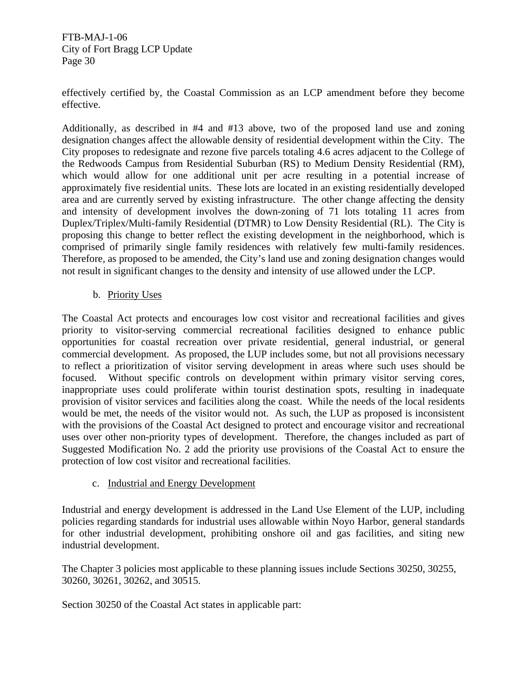effectively certified by, the Coastal Commission as an LCP amendment before they become effective.

Additionally, as described in #4 and #13 above, two of the proposed land use and zoning designation changes affect the allowable density of residential development within the City. The City proposes to redesignate and rezone five parcels totaling 4.6 acres adjacent to the College of the Redwoods Campus from Residential Suburban (RS) to Medium Density Residential (RM), which would allow for one additional unit per acre resulting in a potential increase of approximately five residential units. These lots are located in an existing residentially developed area and are currently served by existing infrastructure. The other change affecting the density and intensity of development involves the down-zoning of 71 lots totaling 11 acres from Duplex/Triplex/Multi-family Residential (DTMR) to Low Density Residential (RL). The City is proposing this change to better reflect the existing development in the neighborhood, which is comprised of primarily single family residences with relatively few multi-family residences. Therefore, as proposed to be amended, the City's land use and zoning designation changes would not result in significant changes to the density and intensity of use allowed under the LCP.

## b. Priority Uses

The Coastal Act protects and encourages low cost visitor and recreational facilities and gives priority to visitor-serving commercial recreational facilities designed to enhance public opportunities for coastal recreation over private residential, general industrial, or general commercial development. As proposed, the LUP includes some, but not all provisions necessary to reflect a prioritization of visitor serving development in areas where such uses should be focused. Without specific controls on development within primary visitor serving cores, inappropriate uses could proliferate within tourist destination spots, resulting in inadequate provision of visitor services and facilities along the coast. While the needs of the local residents would be met, the needs of the visitor would not. As such, the LUP as proposed is inconsistent with the provisions of the Coastal Act designed to protect and encourage visitor and recreational uses over other non-priority types of development. Therefore, the changes included as part of Suggested Modification No. 2 add the priority use provisions of the Coastal Act to ensure the protection of low cost visitor and recreational facilities.

## c. Industrial and Energy Development

Industrial and energy development is addressed in the Land Use Element of the LUP, including policies regarding standards for industrial uses allowable within Noyo Harbor, general standards for other industrial development, prohibiting onshore oil and gas facilities, and siting new industrial development.

The Chapter 3 policies most applicable to these planning issues include Sections 30250, 30255, 30260, 30261, 30262, and 30515.

Section 30250 of the Coastal Act states in applicable part: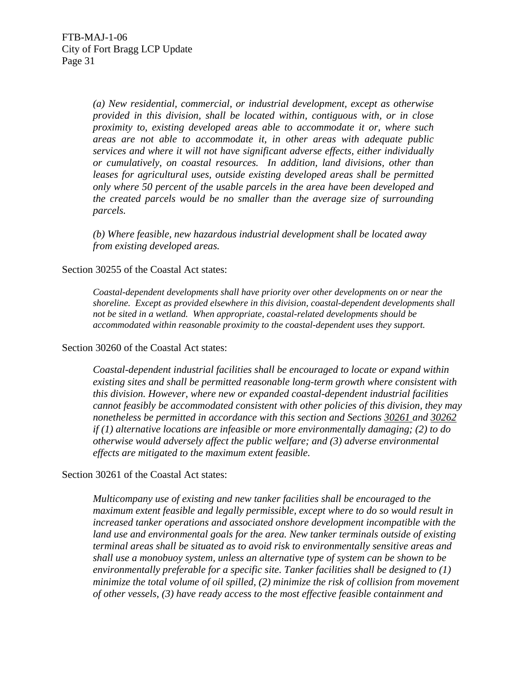*(a) New residential, commercial, or industrial development, except as otherwise provided in this division, shall be located within, contiguous with, or in close proximity to, existing developed areas able to accommodate it or, where such areas are not able to accommodate it, in other areas with adequate public services and where it will not have significant adverse effects, either individually or cumulatively, on coastal resources. In addition, land divisions, other than leases for agricultural uses, outside existing developed areas shall be permitted only where 50 percent of the usable parcels in the area have been developed and the created parcels would be no smaller than the average size of surrounding parcels.* 

*(b) Where feasible, new hazardous industrial development shall be located away from existing developed areas.* 

#### Section 30255 of the Coastal Act states:

 *Coastal-dependent developments shall have priority over other developments on or near the shoreline. Except as provided elsewhere in this division, coastal-dependent developments shall not be sited in a wetland. When appropriate, coastal-related developments should be accommodated within reasonable proximity to the coastal-dependent uses they support.* 

#### Section 30260 of the Coastal Act states:

*Coastal-dependent industrial facilities shall be encouraged to locate or expand within existing sites and shall be permitted reasonable long-term growth where consistent with this division. However, where new or expanded coastal-dependent industrial facilities cannot feasibly be accommodated consistent with other policies of this division, they may nonetheless be permitted in accordance with this section and Sections 30261 and 30262 if (1) alternative locations are infeasible or more environmentally damaging; (2) to do otherwise would adversely affect the public welfare; and (3) adverse environmental effects are mitigated to the maximum extent feasible.* 

#### Section 30261 of the Coastal Act states:

*Multicompany use of existing and new tanker facilities shall be encouraged to the maximum extent feasible and legally permissible, except where to do so would result in increased tanker operations and associated onshore development incompatible with the land use and environmental goals for the area. New tanker terminals outside of existing terminal areas shall be situated as to avoid risk to environmentally sensitive areas and shall use a monobuoy system, unless an alternative type of system can be shown to be environmentally preferable for a specific site. Tanker facilities shall be designed to (1) minimize the total volume of oil spilled, (2) minimize the risk of collision from movement of other vessels, (3) have ready access to the most effective feasible containment and*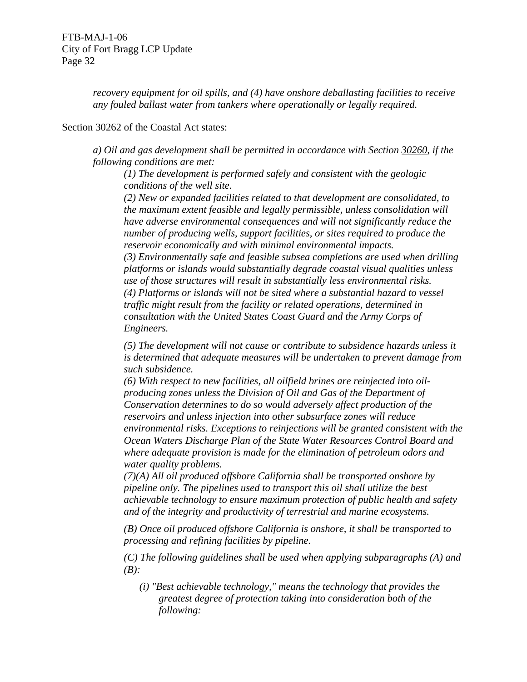*recovery equipment for oil spills, and (4) have onshore deballasting facilities to receive any fouled ballast water from tankers where operationally or legally required.* 

Section 30262 of the Coastal Act states:

*a) Oil and gas development shall be permitted in accordance with Section 30260, if the following conditions are met:* 

*(1) The development is performed safely and consistent with the geologic conditions of the well site.* 

*(2) New or expanded facilities related to that development are consolidated, to the maximum extent feasible and legally permissible, unless consolidation will have adverse environmental consequences and will not significantly reduce the number of producing wells, support facilities, or sites required to produce the reservoir economically and with minimal environmental impacts.* 

*(3) Environmentally safe and feasible subsea completions are used when drilling platforms or islands would substantially degrade coastal visual qualities unless use of those structures will result in substantially less environmental risks. (4) Platforms or islands will not be sited where a substantial hazard to vessel traffic might result from the facility or related operations, determined in consultation with the United States Coast Guard and the Army Corps of Engineers.* 

*(5) The development will not cause or contribute to subsidence hazards unless it is determined that adequate measures will be undertaken to prevent damage from such subsidence.* 

*(6) With respect to new facilities, all oilfield brines are reinjected into oilproducing zones unless the Division of Oil and Gas of the Department of Conservation determines to do so would adversely affect production of the reservoirs and unless injection into other subsurface zones will reduce environmental risks. Exceptions to reinjections will be granted consistent with the Ocean Waters Discharge Plan of the State Water Resources Control Board and where adequate provision is made for the elimination of petroleum odors and water quality problems.* 

*(7)(A) All oil produced offshore California shall be transported onshore by pipeline only. The pipelines used to transport this oil shall utilize the best achievable technology to ensure maximum protection of public health and safety and of the integrity and productivity of terrestrial and marine ecosystems.* 

*(B) Once oil produced offshore California is onshore, it shall be transported to processing and refining facilities by pipeline.* 

*(C) The following guidelines shall be used when applying subparagraphs (A) and (B):* 

*(i) "Best achievable technology," means the technology that provides the greatest degree of protection taking into consideration both of the following:*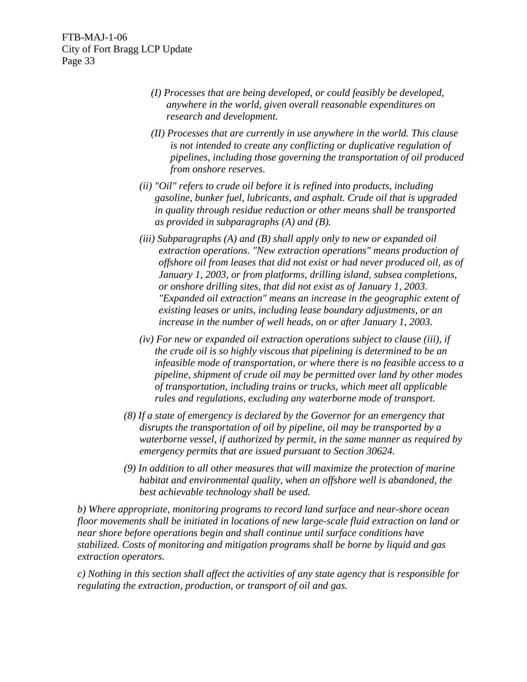- *(I) Processes that are being developed, or could feasibly be developed, anywhere in the world, given overall reasonable expenditures on research and development.*
- *(II) Processes that are currently in use anywhere in the world. This clause is not intended to create any conflicting or duplicative regulation of pipelines, including those governing the transportation of oil produced from onshore reserves.*
- *(ii) "Oil" refers to crude oil before it is refined into products, including gasoline, bunker fuel, lubricants, and asphalt. Crude oil that is upgraded in quality through residue reduction or other means shall be transported as provided in subparagraphs (A) and (B).*
- *(iii) Subparagraphs (A) and (B) shall apply only to new or expanded oil extraction operations. "New extraction operations" means production of offshore oil from leases that did not exist or had never produced oil, as of January 1, 2003, or from platforms, drilling island, subsea completions, or onshore drilling sites, that did not exist as of January 1, 2003. "Expanded oil extraction" means an increase in the geographic extent of existing leases or units, including lease boundary adjustments, or an increase in the number of well heads, on or after January 1, 2003.*
- *(iv) For new or expanded oil extraction operations subject to clause (iii), if the crude oil is so highly viscous that pipelining is determined to be an infeasible mode of transportation, or where there is no feasible access to a pipeline, shipment of crude oil may be permitted over land by other modes of transportation, including trains or trucks, which meet all applicable rules and regulations, excluding any waterborne mode of transport.*
- *(8) If a state of emergency is declared by the Governor for an emergency that disrupts the transportation of oil by pipeline, oil may be transported by a waterborne vessel, if authorized by permit, in the same manner as required by emergency permits that are issued pursuant to Section 30624.*
- *(9) In addition to all other measures that will maximize the protection of marine habitat and environmental quality, when an offshore well is abandoned, the best achievable technology shall be used.*

*b) Where appropriate, monitoring programs to record land surface and near-shore ocean floor movements shall be initiated in locations of new large-scale fluid extraction on land or near shore before operations begin and shall continue until surface conditions have stabilized. Costs of monitoring and mitigation programs shall be borne by liquid and gas extraction operators.* 

*c) Nothing in this section shall affect the activities of any state agency that is responsible for regulating the extraction, production, or transport of oil and gas.*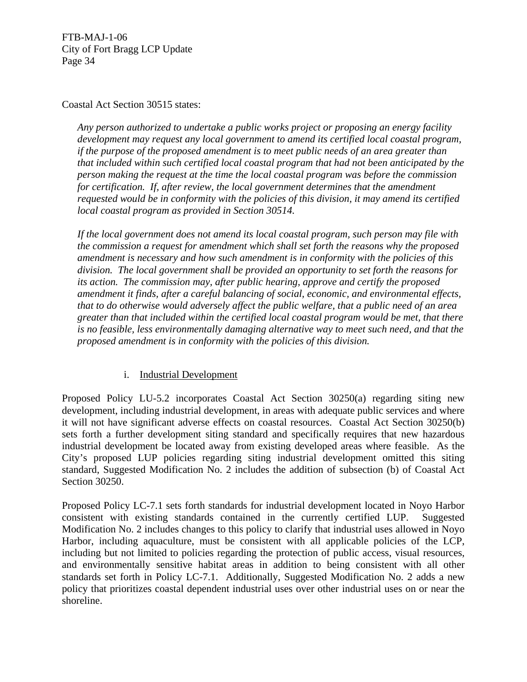Coastal Act Section 30515 states:

 *Any person authorized to undertake a public works project or proposing an energy facility development may request any local government to amend its certified local coastal program, if the purpose of the proposed amendment is to meet public needs of an area greater than that included within such certified local coastal program that had not been anticipated by the person making the request at the time the local coastal program was before the commission for certification. If, after review, the local government determines that the amendment requested would be in conformity with the policies of this division, it may amend its certified local coastal program as provided in Section 30514.* 

 *If the local government does not amend its local coastal program, such person may file with the commission a request for amendment which shall set forth the reasons why the proposed amendment is necessary and how such amendment is in conformity with the policies of this division. The local government shall be provided an opportunity to set forth the reasons for its action. The commission may, after public hearing, approve and certify the proposed amendment it finds, after a careful balancing of social, economic, and environmental effects, that to do otherwise would adversely affect the public welfare, that a public need of an area greater than that included within the certified local coastal program would be met, that there is no feasible, less environmentally damaging alternative way to meet such need, and that the proposed amendment is in conformity with the policies of this division.* 

# i. Industrial Development

Proposed Policy LU-5.2 incorporates Coastal Act Section 30250(a) regarding siting new development, including industrial development, in areas with adequate public services and where it will not have significant adverse effects on coastal resources. Coastal Act Section 30250(b) sets forth a further development siting standard and specifically requires that new hazardous industrial development be located away from existing developed areas where feasible. As the City's proposed LUP policies regarding siting industrial development omitted this siting standard, Suggested Modification No. 2 includes the addition of subsection (b) of Coastal Act Section 30250.

Proposed Policy LC-7.1 sets forth standards for industrial development located in Noyo Harbor consistent with existing standards contained in the currently certified LUP. Suggested Modification No. 2 includes changes to this policy to clarify that industrial uses allowed in Noyo Harbor, including aquaculture, must be consistent with all applicable policies of the LCP, including but not limited to policies regarding the protection of public access, visual resources, and environmentally sensitive habitat areas in addition to being consistent with all other standards set forth in Policy LC-7.1. Additionally, Suggested Modification No. 2 adds a new policy that prioritizes coastal dependent industrial uses over other industrial uses on or near the shoreline.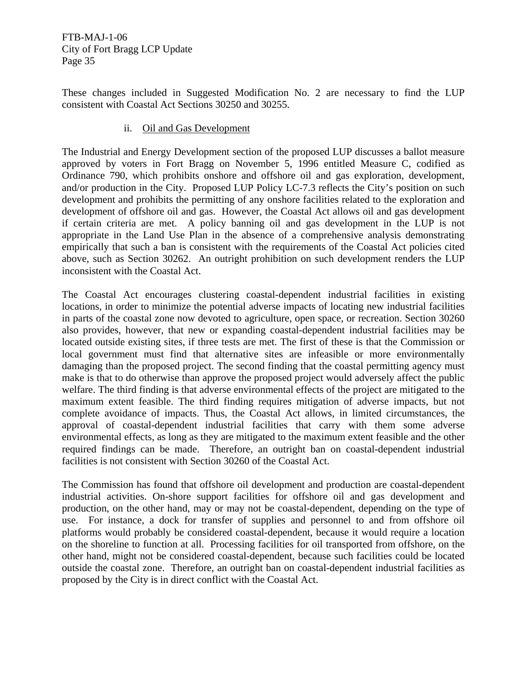These changes included in Suggested Modification No. 2 are necessary to find the LUP consistent with Coastal Act Sections 30250 and 30255.

## ii. Oil and Gas Development

The Industrial and Energy Development section of the proposed LUP discusses a ballot measure approved by voters in Fort Bragg on November 5, 1996 entitled Measure C, codified as Ordinance 790, which prohibits onshore and offshore oil and gas exploration, development, and/or production in the City. Proposed LUP Policy LC-7.3 reflects the City's position on such development and prohibits the permitting of any onshore facilities related to the exploration and development of offshore oil and gas. However, the Coastal Act allows oil and gas development if certain criteria are met. A policy banning oil and gas development in the LUP is not appropriate in the Land Use Plan in the absence of a comprehensive analysis demonstrating empirically that such a ban is consistent with the requirements of the Coastal Act policies cited above, such as Section 30262. An outright prohibition on such development renders the LUP inconsistent with the Coastal Act.

The Coastal Act encourages clustering coastal-dependent industrial facilities in existing locations, in order to minimize the potential adverse impacts of locating new industrial facilities in parts of the coastal zone now devoted to agriculture, open space, or recreation. Section 30260 also provides, however, that new or expanding coastal-dependent industrial facilities may be located outside existing sites, if three tests are met. The first of these is that the Commission or local government must find that alternative sites are infeasible or more environmentally damaging than the proposed project. The second finding that the coastal permitting agency must make is that to do otherwise than approve the proposed project would adversely affect the public welfare. The third finding is that adverse environmental effects of the project are mitigated to the maximum extent feasible. The third finding requires mitigation of adverse impacts, but not complete avoidance of impacts. Thus, the Coastal Act allows, in limited circumstances, the approval of coastal-dependent industrial facilities that carry with them some adverse environmental effects, as long as they are mitigated to the maximum extent feasible and the other required findings can be made. Therefore, an outright ban on coastal-dependent industrial facilities is not consistent with Section 30260 of the Coastal Act.

The Commission has found that offshore oil development and production are coastal-dependent industrial activities. On-shore support facilities for offshore oil and gas development and production, on the other hand, may or may not be coastal-dependent, depending on the type of use. For instance, a dock for transfer of supplies and personnel to and from offshore oil platforms would probably be considered coastal-dependent, because it would require a location on the shoreline to function at all. Processing facilities for oil transported from offshore, on the other hand, might not be considered coastal-dependent, because such facilities could be located outside the coastal zone. Therefore, an outright ban on coastal-dependent industrial facilities as proposed by the City is in direct conflict with the Coastal Act.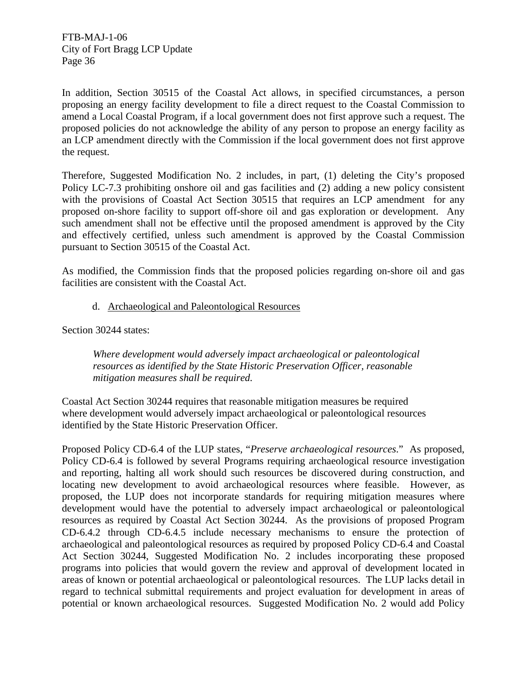In addition, Section 30515 of the Coastal Act allows, in specified circumstances, a person proposing an energy facility development to file a direct request to the Coastal Commission to amend a Local Coastal Program, if a local government does not first approve such a request. The proposed policies do not acknowledge the ability of any person to propose an energy facility as an LCP amendment directly with the Commission if the local government does not first approve the request.

Therefore, Suggested Modification No. 2 includes, in part, (1) deleting the City's proposed Policy LC-7.3 prohibiting onshore oil and gas facilities and (2) adding a new policy consistent with the provisions of Coastal Act Section 30515 that requires an LCP amendment for any proposed on-shore facility to support off-shore oil and gas exploration or development. Any such amendment shall not be effective until the proposed amendment is approved by the City and effectively certified, unless such amendment is approved by the Coastal Commission pursuant to Section 30515 of the Coastal Act.

As modified, the Commission finds that the proposed policies regarding on-shore oil and gas facilities are consistent with the Coastal Act.

d. Archaeological and Paleontological Resources

Section 30244 states:

*Where development would adversely impact archaeological or paleontological resources as identified by the State Historic Preservation Officer, reasonable mitigation measures shall be required.* 

Coastal Act Section 30244 requires that reasonable mitigation measures be required where development would adversely impact archaeological or paleontological resources identified by the State Historic Preservation Officer.

Proposed Policy CD-6.4 of the LUP states, "*Preserve archaeological resources*." As proposed, Policy CD-6.4 is followed by several Programs requiring archaeological resource investigation and reporting, halting all work should such resources be discovered during construction, and locating new development to avoid archaeological resources where feasible. However, as proposed, the LUP does not incorporate standards for requiring mitigation measures where development would have the potential to adversely impact archaeological or paleontological resources as required by Coastal Act Section 30244. As the provisions of proposed Program CD-6.4.2 through CD-6.4.5 include necessary mechanisms to ensure the protection of archaeological and paleontological resources as required by proposed Policy CD-6.4 and Coastal Act Section 30244, Suggested Modification No. 2 includes incorporating these proposed programs into policies that would govern the review and approval of development located in areas of known or potential archaeological or paleontological resources. The LUP lacks detail in regard to technical submittal requirements and project evaluation for development in areas of potential or known archaeological resources. Suggested Modification No. 2 would add Policy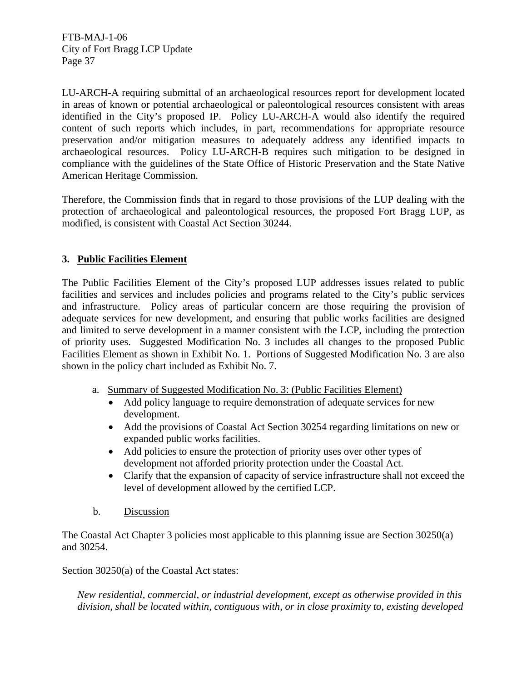LU-ARCH-A requiring submittal of an archaeological resources report for development located in areas of known or potential archaeological or paleontological resources consistent with areas identified in the City's proposed IP. Policy LU-ARCH-A would also identify the required content of such reports which includes, in part, recommendations for appropriate resource preservation and/or mitigation measures to adequately address any identified impacts to archaeological resources. Policy LU-ARCH-B requires such mitigation to be designed in compliance with the guidelines of the State Office of Historic Preservation and the State Native American Heritage Commission.

Therefore, the Commission finds that in regard to those provisions of the LUP dealing with the protection of archaeological and paleontological resources, the proposed Fort Bragg LUP, as modified, is consistent with Coastal Act Section 30244.

# **3. Public Facilities Element**

The Public Facilities Element of the City's proposed LUP addresses issues related to public facilities and services and includes policies and programs related to the City's public services and infrastructure. Policy areas of particular concern are those requiring the provision of adequate services for new development, and ensuring that public works facilities are designed and limited to serve development in a manner consistent with the LCP, including the protection of priority uses. Suggested Modification No. 3 includes all changes to the proposed Public Facilities Element as shown in Exhibit No. 1. Portions of Suggested Modification No. 3 are also shown in the policy chart included as Exhibit No. 7.

- a. Summary of Suggested Modification No. 3: (Public Facilities Element)
	- Add policy language to require demonstration of adequate services for new development.
	- Add the provisions of Coastal Act Section 30254 regarding limitations on new or expanded public works facilities.
	- Add policies to ensure the protection of priority uses over other types of development not afforded priority protection under the Coastal Act.
	- Clarify that the expansion of capacity of service infrastructure shall not exceed the level of development allowed by the certified LCP.
- b. Discussion

The Coastal Act Chapter 3 policies most applicable to this planning issue are Section 30250(a) and 30254.

Section 30250(a) of the Coastal Act states:

*New residential, commercial, or industrial development, except as otherwise provided in this division, shall be located within, contiguous with, or in close proximity to, existing developed*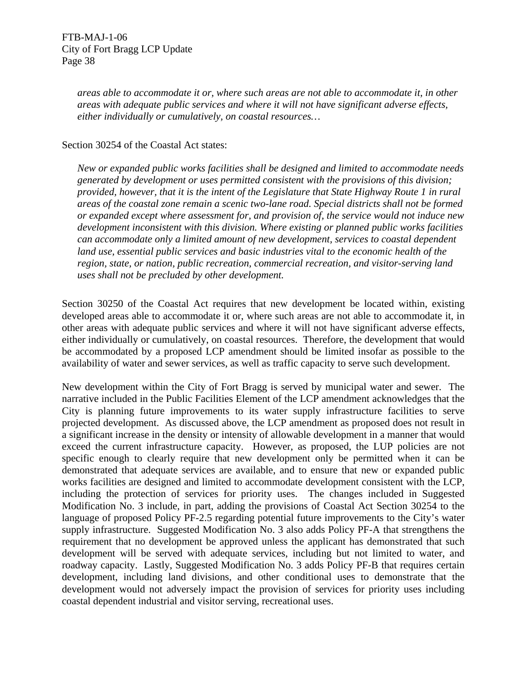*areas able to accommodate it or, where such areas are not able to accommodate it, in other areas with adequate public services and where it will not have significant adverse effects, either individually or cumulatively, on coastal resources…* 

#### Section 30254 of the Coastal Act states:

*New or expanded public works facilities shall be designed and limited to accommodate needs generated by development or uses permitted consistent with the provisions of this division; provided, however, that it is the intent of the Legislature that State Highway Route 1 in rural areas of the coastal zone remain a scenic two-lane road. Special districts shall not be formed or expanded except where assessment for, and provision of, the service would not induce new development inconsistent with this division. Where existing or planned public works facilities can accommodate only a limited amount of new development, services to coastal dependent land use, essential public services and basic industries vital to the economic health of the region, state, or nation, public recreation, commercial recreation, and visitor-serving land uses shall not be precluded by other development.* 

Section 30250 of the Coastal Act requires that new development be located within, existing developed areas able to accommodate it or, where such areas are not able to accommodate it, in other areas with adequate public services and where it will not have significant adverse effects, either individually or cumulatively, on coastal resources. Therefore, the development that would be accommodated by a proposed LCP amendment should be limited insofar as possible to the availability of water and sewer services, as well as traffic capacity to serve such development.

New development within the City of Fort Bragg is served by municipal water and sewer. The narrative included in the Public Facilities Element of the LCP amendment acknowledges that the City is planning future improvements to its water supply infrastructure facilities to serve projected development. As discussed above, the LCP amendment as proposed does not result in a significant increase in the density or intensity of allowable development in a manner that would exceed the current infrastructure capacity. However, as proposed, the LUP policies are not specific enough to clearly require that new development only be permitted when it can be demonstrated that adequate services are available, and to ensure that new or expanded public works facilities are designed and limited to accommodate development consistent with the LCP, including the protection of services for priority uses. The changes included in Suggested Modification No. 3 include, in part, adding the provisions of Coastal Act Section 30254 to the language of proposed Policy PF-2.5 regarding potential future improvements to the City's water supply infrastructure. Suggested Modification No. 3 also adds Policy PF-A that strengthens the requirement that no development be approved unless the applicant has demonstrated that such development will be served with adequate services, including but not limited to water, and roadway capacity. Lastly, Suggested Modification No. 3 adds Policy PF-B that requires certain development, including land divisions, and other conditional uses to demonstrate that the development would not adversely impact the provision of services for priority uses including coastal dependent industrial and visitor serving, recreational uses.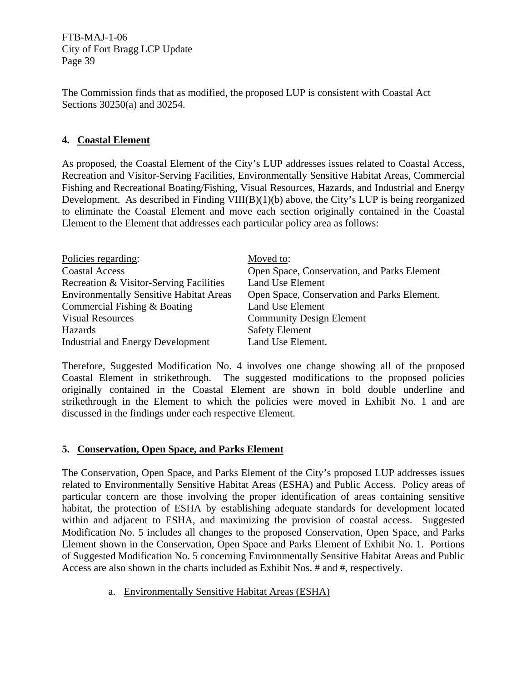The Commission finds that as modified, the proposed LUP is consistent with Coastal Act Sections 30250(a) and 30254.

# **4. Coastal Element**

As proposed, the Coastal Element of the City's LUP addresses issues related to Coastal Access, Recreation and Visitor-Serving Facilities, Environmentally Sensitive Habitat Areas, Commercial Fishing and Recreational Boating/Fishing, Visual Resources, Hazards, and Industrial and Energy Development. As described in Finding VIII(B)(1)(b) above, the City's LUP is being reorganized to eliminate the Coastal Element and move each section originally contained in the Coastal Element to the Element that addresses each particular policy area as follows:

| Policies regarding:                            | Moved to:                                   |
|------------------------------------------------|---------------------------------------------|
| <b>Coastal Access</b>                          | Open Space, Conservation, and Parks Element |
| Recreation & Visitor-Serving Facilities        | Land Use Element                            |
| <b>Environmentally Sensitive Habitat Areas</b> | Open Space, Conservation and Parks Element. |
| Commercial Fishing & Boating                   | Land Use Element                            |
| <b>Visual Resources</b>                        | <b>Community Design Element</b>             |
| Hazards                                        | <b>Safety Element</b>                       |
| <b>Industrial and Energy Development</b>       | Land Use Element.                           |

Therefore, Suggested Modification No. 4 involves one change showing all of the proposed Coastal Element in strikethrough. The suggested modifications to the proposed policies originally contained in the Coastal Element are shown in bold double underline and strikethrough in the Element to which the policies were moved in Exhibit No. 1 and are discussed in the findings under each respective Element.

## **5. Conservation, Open Space, and Parks Element**

The Conservation, Open Space, and Parks Element of the City's proposed LUP addresses issues related to Environmentally Sensitive Habitat Areas (ESHA) and Public Access. Policy areas of particular concern are those involving the proper identification of areas containing sensitive habitat, the protection of ESHA by establishing adequate standards for development located within and adjacent to ESHA, and maximizing the provision of coastal access. Suggested Modification No. 5 includes all changes to the proposed Conservation, Open Space, and Parks Element shown in the Conservation, Open Space and Parks Element of Exhibit No. 1. Portions of Suggested Modification No. 5 concerning Environmentally Sensitive Habitat Areas and Public Access are also shown in the charts included as Exhibit Nos. # and #, respectively.

a. Environmentally Sensitive Habitat Areas (ESHA)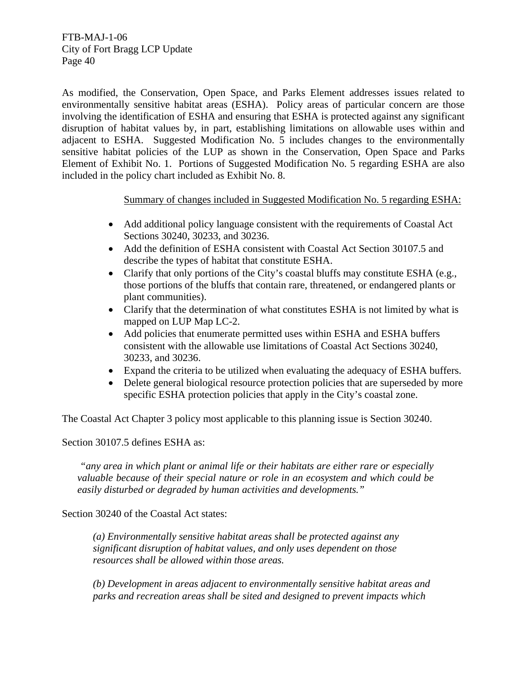As modified, the Conservation, Open Space, and Parks Element addresses issues related to environmentally sensitive habitat areas (ESHA). Policy areas of particular concern are those involving the identification of ESHA and ensuring that ESHA is protected against any significant disruption of habitat values by, in part, establishing limitations on allowable uses within and adjacent to ESHA. Suggested Modification No. 5 includes changes to the environmentally sensitive habitat policies of the LUP as shown in the Conservation, Open Space and Parks Element of Exhibit No. 1. Portions of Suggested Modification No. 5 regarding ESHA are also included in the policy chart included as Exhibit No. 8.

Summary of changes included in Suggested Modification No. 5 regarding ESHA:

- Add additional policy language consistent with the requirements of Coastal Act Sections 30240, 30233, and 30236.
- Add the definition of ESHA consistent with Coastal Act Section 30107.5 and describe the types of habitat that constitute ESHA.
- Clarify that only portions of the City's coastal bluffs may constitute ESHA (e.g., those portions of the bluffs that contain rare, threatened, or endangered plants or plant communities).
- Clarify that the determination of what constitutes ESHA is not limited by what is mapped on LUP Map LC-2.
- Add policies that enumerate permitted uses within ESHA and ESHA buffers consistent with the allowable use limitations of Coastal Act Sections 30240, 30233, and 30236.
- Expand the criteria to be utilized when evaluating the adequacy of ESHA buffers.
- Delete general biological resource protection policies that are superseded by more specific ESHA protection policies that apply in the City's coastal zone.

The Coastal Act Chapter 3 policy most applicable to this planning issue is Section 30240.

Section 30107.5 defines ESHA as:

*"any area in which plant or animal life or their habitats are either rare or especially valuable because of their special nature or role in an ecosystem and which could be easily disturbed or degraded by human activities and developments."* 

Section 30240 of the Coastal Act states:

*(a) Environmentally sensitive habitat areas shall be protected against any significant disruption of habitat values, and only uses dependent on those resources shall be allowed within those areas.* 

*(b) Development in areas adjacent to environmentally sensitive habitat areas and parks and recreation areas shall be sited and designed to prevent impacts which*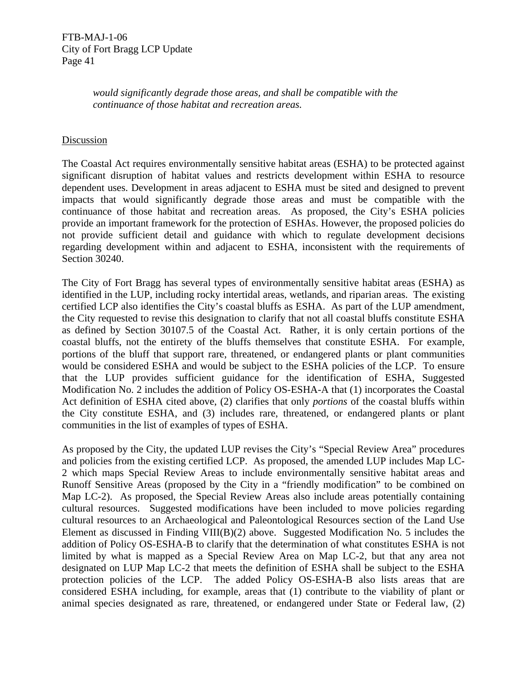*would significantly degrade those areas, and shall be compatible with the continuance of those habitat and recreation areas.* 

## Discussion

The Coastal Act requires environmentally sensitive habitat areas (ESHA) to be protected against significant disruption of habitat values and restricts development within ESHA to resource dependent uses. Development in areas adjacent to ESHA must be sited and designed to prevent impacts that would significantly degrade those areas and must be compatible with the continuance of those habitat and recreation areas. As proposed, the City's ESHA policies provide an important framework for the protection of ESHAs. However, the proposed policies do not provide sufficient detail and guidance with which to regulate development decisions regarding development within and adjacent to ESHA, inconsistent with the requirements of Section 30240.

The City of Fort Bragg has several types of environmentally sensitive habitat areas (ESHA) as identified in the LUP, including rocky intertidal areas, wetlands, and riparian areas. The existing certified LCP also identifies the City's coastal bluffs as ESHA. As part of the LUP amendment, the City requested to revise this designation to clarify that not all coastal bluffs constitute ESHA as defined by Section 30107.5 of the Coastal Act. Rather, it is only certain portions of the coastal bluffs, not the entirety of the bluffs themselves that constitute ESHA. For example, portions of the bluff that support rare, threatened, or endangered plants or plant communities would be considered ESHA and would be subject to the ESHA policies of the LCP. To ensure that the LUP provides sufficient guidance for the identification of ESHA, Suggested Modification No. 2 includes the addition of Policy OS-ESHA-A that (1) incorporates the Coastal Act definition of ESHA cited above, (2) clarifies that only *portions* of the coastal bluffs within the City constitute ESHA, and (3) includes rare, threatened, or endangered plants or plant communities in the list of examples of types of ESHA.

As proposed by the City, the updated LUP revises the City's "Special Review Area" procedures and policies from the existing certified LCP. As proposed, the amended LUP includes Map LC-2 which maps Special Review Areas to include environmentally sensitive habitat areas and Runoff Sensitive Areas (proposed by the City in a "friendly modification" to be combined on Map LC-2). As proposed, the Special Review Areas also include areas potentially containing cultural resources. Suggested modifications have been included to move policies regarding cultural resources to an Archaeological and Paleontological Resources section of the Land Use Element as discussed in Finding VIII(B)(2) above. Suggested Modification No. 5 includes the addition of Policy OS-ESHA-B to clarify that the determination of what constitutes ESHA is not limited by what is mapped as a Special Review Area on Map LC-2, but that any area not designated on LUP Map LC-2 that meets the definition of ESHA shall be subject to the ESHA protection policies of the LCP. The added Policy OS-ESHA-B also lists areas that are considered ESHA including, for example, areas that (1) contribute to the viability of plant or animal species designated as rare, threatened, or endangered under State or Federal law, (2)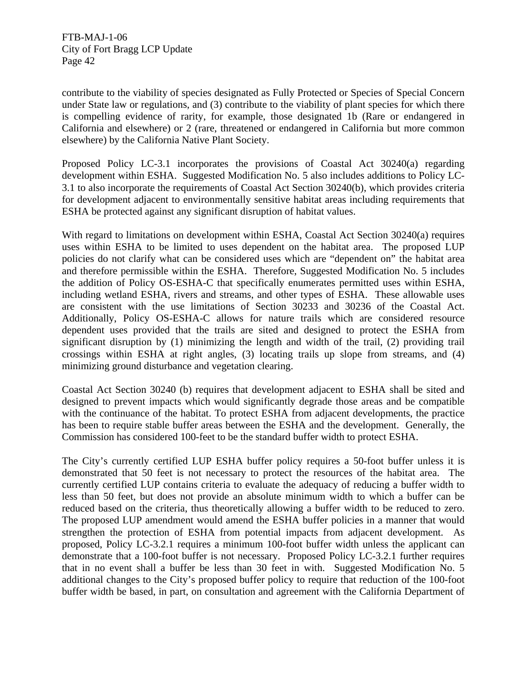contribute to the viability of species designated as Fully Protected or Species of Special Concern under State law or regulations, and (3) contribute to the viability of plant species for which there is compelling evidence of rarity, for example, those designated 1b (Rare or endangered in California and elsewhere) or 2 (rare, threatened or endangered in California but more common elsewhere) by the California Native Plant Society.

Proposed Policy LC-3.1 incorporates the provisions of Coastal Act 30240(a) regarding development within ESHA. Suggested Modification No. 5 also includes additions to Policy LC-3.1 to also incorporate the requirements of Coastal Act Section 30240(b), which provides criteria for development adjacent to environmentally sensitive habitat areas including requirements that ESHA be protected against any significant disruption of habitat values.

With regard to limitations on development within ESHA, Coastal Act Section 30240(a) requires uses within ESHA to be limited to uses dependent on the habitat area. The proposed LUP policies do not clarify what can be considered uses which are "dependent on" the habitat area and therefore permissible within the ESHA. Therefore, Suggested Modification No. 5 includes the addition of Policy OS-ESHA-C that specifically enumerates permitted uses within ESHA, including wetland ESHA, rivers and streams, and other types of ESHA. These allowable uses are consistent with the use limitations of Section 30233 and 30236 of the Coastal Act. Additionally, Policy OS-ESHA-C allows for nature trails which are considered resource dependent uses provided that the trails are sited and designed to protect the ESHA from significant disruption by (1) minimizing the length and width of the trail, (2) providing trail crossings within ESHA at right angles, (3) locating trails up slope from streams, and (4) minimizing ground disturbance and vegetation clearing.

Coastal Act Section 30240 (b) requires that development adjacent to ESHA shall be sited and designed to prevent impacts which would significantly degrade those areas and be compatible with the continuance of the habitat. To protect ESHA from adjacent developments, the practice has been to require stable buffer areas between the ESHA and the development. Generally, the Commission has considered 100-feet to be the standard buffer width to protect ESHA.

The City's currently certified LUP ESHA buffer policy requires a 50-foot buffer unless it is demonstrated that 50 feet is not necessary to protect the resources of the habitat area. The currently certified LUP contains criteria to evaluate the adequacy of reducing a buffer width to less than 50 feet, but does not provide an absolute minimum width to which a buffer can be reduced based on the criteria, thus theoretically allowing a buffer width to be reduced to zero. The proposed LUP amendment would amend the ESHA buffer policies in a manner that would strengthen the protection of ESHA from potential impacts from adjacent development. As proposed, Policy LC-3.2.1 requires a minimum 100-foot buffer width unless the applicant can demonstrate that a 100-foot buffer is not necessary. Proposed Policy LC-3.2.1 further requires that in no event shall a buffer be less than 30 feet in with. Suggested Modification No. 5 additional changes to the City's proposed buffer policy to require that reduction of the 100-foot buffer width be based, in part, on consultation and agreement with the California Department of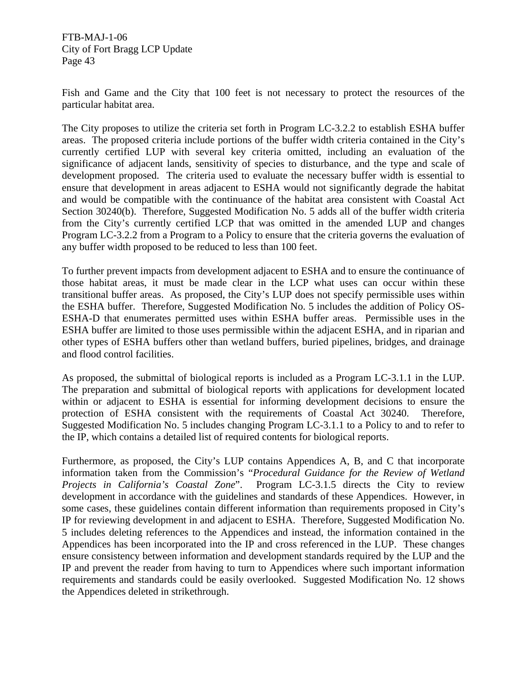Fish and Game and the City that 100 feet is not necessary to protect the resources of the particular habitat area.

The City proposes to utilize the criteria set forth in Program LC-3.2.2 to establish ESHA buffer areas. The proposed criteria include portions of the buffer width criteria contained in the City's currently certified LUP with several key criteria omitted, including an evaluation of the significance of adjacent lands, sensitivity of species to disturbance, and the type and scale of development proposed. The criteria used to evaluate the necessary buffer width is essential to ensure that development in areas adjacent to ESHA would not significantly degrade the habitat and would be compatible with the continuance of the habitat area consistent with Coastal Act Section 30240(b). Therefore, Suggested Modification No. 5 adds all of the buffer width criteria from the City's currently certified LCP that was omitted in the amended LUP and changes Program LC-3.2.2 from a Program to a Policy to ensure that the criteria governs the evaluation of any buffer width proposed to be reduced to less than 100 feet.

To further prevent impacts from development adjacent to ESHA and to ensure the continuance of those habitat areas, it must be made clear in the LCP what uses can occur within these transitional buffer areas. As proposed, the City's LUP does not specify permissible uses within the ESHA buffer. Therefore, Suggested Modification No. 5 includes the addition of Policy OS-ESHA-D that enumerates permitted uses within ESHA buffer areas. Permissible uses in the ESHA buffer are limited to those uses permissible within the adjacent ESHA, and in riparian and other types of ESHA buffers other than wetland buffers, buried pipelines, bridges, and drainage and flood control facilities.

As proposed, the submittal of biological reports is included as a Program LC-3.1.1 in the LUP. The preparation and submittal of biological reports with applications for development located within or adjacent to ESHA is essential for informing development decisions to ensure the protection of ESHA consistent with the requirements of Coastal Act 30240. Therefore, Suggested Modification No. 5 includes changing Program LC-3.1.1 to a Policy to and to refer to the IP, which contains a detailed list of required contents for biological reports.

Furthermore, as proposed, the City's LUP contains Appendices A, B, and C that incorporate information taken from the Commission's "*Procedural Guidance for the Review of Wetland Projects in California's Coastal Zone*". Program LC-3.1.5 directs the City to review development in accordance with the guidelines and standards of these Appendices. However, in some cases, these guidelines contain different information than requirements proposed in City's IP for reviewing development in and adjacent to ESHA. Therefore, Suggested Modification No. 5 includes deleting references to the Appendices and instead, the information contained in the Appendices has been incorporated into the IP and cross referenced in the LUP. These changes ensure consistency between information and development standards required by the LUP and the IP and prevent the reader from having to turn to Appendices where such important information requirements and standards could be easily overlooked. Suggested Modification No. 12 shows the Appendices deleted in strikethrough.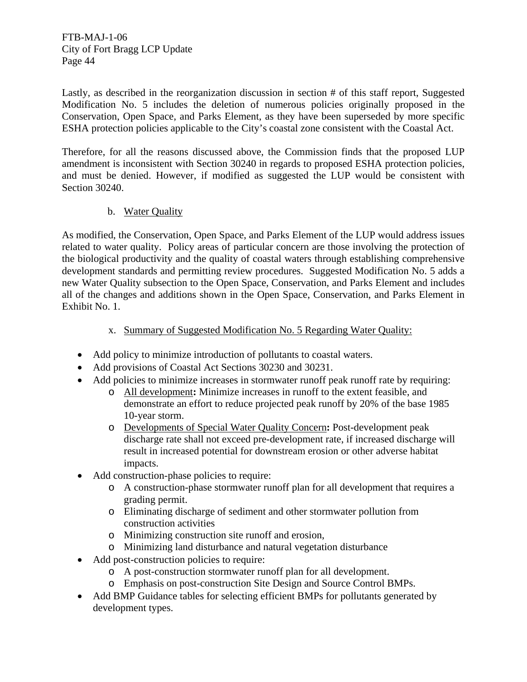Lastly, as described in the reorganization discussion in section # of this staff report, Suggested Modification No. 5 includes the deletion of numerous policies originally proposed in the Conservation, Open Space, and Parks Element, as they have been superseded by more specific ESHA protection policies applicable to the City's coastal zone consistent with the Coastal Act.

Therefore, for all the reasons discussed above, the Commission finds that the proposed LUP amendment is inconsistent with Section 30240 in regards to proposed ESHA protection policies, and must be denied. However, if modified as suggested the LUP would be consistent with Section 30240.

# b. Water Quality

As modified, the Conservation, Open Space, and Parks Element of the LUP would address issues related to water quality. Policy areas of particular concern are those involving the protection of the biological productivity and the quality of coastal waters through establishing comprehensive development standards and permitting review procedures. Suggested Modification No. 5 adds a new Water Quality subsection to the Open Space, Conservation, and Parks Element and includes all of the changes and additions shown in the Open Space, Conservation, and Parks Element in Exhibit No. 1.

## x. Summary of Suggested Modification No. 5 Regarding Water Quality:

- Add policy to minimize introduction of pollutants to coastal waters.
- Add provisions of Coastal Act Sections 30230 and 30231.
- Add policies to minimize increases in stormwater runoff peak runoff rate by requiring:
	- o All development**:** Minimize increases in runoff to the extent feasible, and demonstrate an effort to reduce projected peak runoff by 20% of the base 1985 10-year storm.
	- o Developments of Special Water Quality Concern**:** Post-development peak discharge rate shall not exceed pre-development rate, if increased discharge will result in increased potential for downstream erosion or other adverse habitat impacts.
- Add construction-phase policies to require:
	- o A construction-phase stormwater runoff plan for all development that requires a grading permit.
	- o Eliminating discharge of sediment and other stormwater pollution from construction activities
	- o Minimizing construction site runoff and erosion,
	- o Minimizing land disturbance and natural vegetation disturbance
- Add post-construction policies to require:
	- o A post-construction stormwater runoff plan for all development.
	- o Emphasis on post-construction Site Design and Source Control BMPs.
- Add BMP Guidance tables for selecting efficient BMPs for pollutants generated by development types.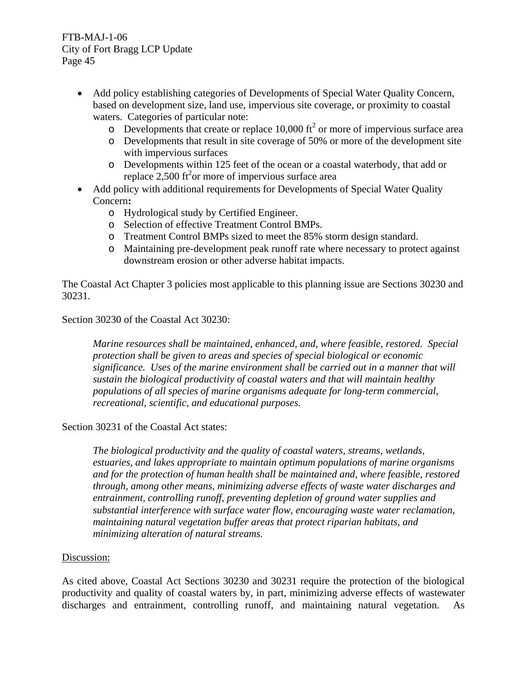- Add policy establishing categories of Developments of Special Water Quality Concern, based on development size, land use, impervious site coverage, or proximity to coastal waters. Categories of particular note:
	- $\circ$  Developments that create or replace 10,000 ft<sup>2</sup> or more of impervious surface area
	- o Developments that result in site coverage of 50% or more of the development site with impervious surfaces
	- o Developments within 125 feet of the ocean or a coastal waterbody, that add or replace  $2,500$  ft<sup>2</sup> or more of impervious surface area
- Add policy with additional requirements for Developments of Special Water Quality Concern**:**
	- o Hydrological study by Certified Engineer.
	- o Selection of effective Treatment Control BMPs.
	- o Treatment Control BMPs sized to meet the 85% storm design standard.
	- o Maintaining pre-development peak runoff rate where necessary to protect against downstream erosion or other adverse habitat impacts.

The Coastal Act Chapter 3 policies most applicable to this planning issue are Sections 30230 and 30231.

## Section 30230 of the Coastal Act 30230:

*Marine resources shall be maintained, enhanced, and, where feasible, restored. Special protection shall be given to areas and species of special biological or economic significance. Uses of the marine environment shall be carried out in a manner that will sustain the biological productivity of coastal waters and that will maintain healthy populations of all species of marine organisms adequate for long-term commercial, recreational, scientific, and educational purposes.* 

## Section 30231 of the Coastal Act states:

*The biological productivity and the quality of coastal waters, streams, wetlands, estuaries, and lakes appropriate to maintain optimum populations of marine organisms and for the protection of human health shall be maintained and, where feasible, restored through, among other means, minimizing adverse effects of waste water discharges and entrainment, controlling runoff, preventing depletion of ground water supplies and substantial interference with surface water flow, encouraging waste water reclamation, maintaining natural vegetation buffer areas that protect riparian habitats, and minimizing alteration of natural streams.* 

#### Discussion:

As cited above, Coastal Act Sections 30230 and 30231 require the protection of the biological productivity and quality of coastal waters by, in part, minimizing adverse effects of wastewater discharges and entrainment, controlling runoff, and maintaining natural vegetation. As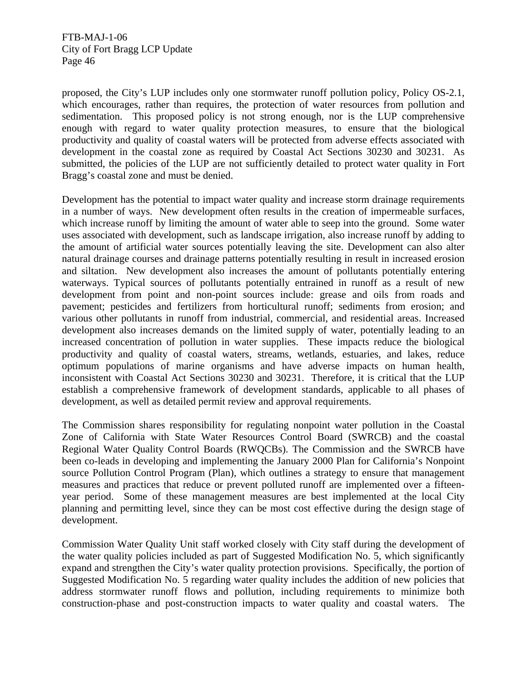proposed, the City's LUP includes only one stormwater runoff pollution policy, Policy OS-2.1, which encourages, rather than requires, the protection of water resources from pollution and sedimentation. This proposed policy is not strong enough, nor is the LUP comprehensive enough with regard to water quality protection measures, to ensure that the biological productivity and quality of coastal waters will be protected from adverse effects associated with development in the coastal zone as required by Coastal Act Sections 30230 and 30231. As submitted, the policies of the LUP are not sufficiently detailed to protect water quality in Fort Bragg's coastal zone and must be denied.

Development has the potential to impact water quality and increase storm drainage requirements in a number of ways. New development often results in the creation of impermeable surfaces, which increase runoff by limiting the amount of water able to seep into the ground. Some water uses associated with development, such as landscape irrigation, also increase runoff by adding to the amount of artificial water sources potentially leaving the site. Development can also alter natural drainage courses and drainage patterns potentially resulting in result in increased erosion and siltation. New development also increases the amount of pollutants potentially entering waterways. Typical sources of pollutants potentially entrained in runoff as a result of new development from point and non-point sources include: grease and oils from roads and pavement; pesticides and fertilizers from horticultural runoff; sediments from erosion; and various other pollutants in runoff from industrial, commercial, and residential areas. Increased development also increases demands on the limited supply of water, potentially leading to an increased concentration of pollution in water supplies. These impacts reduce the biological productivity and quality of coastal waters, streams, wetlands, estuaries, and lakes, reduce optimum populations of marine organisms and have adverse impacts on human health, inconsistent with Coastal Act Sections 30230 and 30231. Therefore, it is critical that the LUP establish a comprehensive framework of development standards, applicable to all phases of development, as well as detailed permit review and approval requirements.

The Commission shares responsibility for regulating nonpoint water pollution in the Coastal Zone of California with State Water Resources Control Board (SWRCB) and the coastal Regional Water Quality Control Boards (RWQCBs). The Commission and the SWRCB have been co-leads in developing and implementing the January 2000 Plan for California's Nonpoint source Pollution Control Program (Plan), which outlines a strategy to ensure that management measures and practices that reduce or prevent polluted runoff are implemented over a fifteenyear period. Some of these management measures are best implemented at the local City planning and permitting level, since they can be most cost effective during the design stage of development.

Commission Water Quality Unit staff worked closely with City staff during the development of the water quality policies included as part of Suggested Modification No. 5, which significantly expand and strengthen the City's water quality protection provisions. Specifically, the portion of Suggested Modification No. 5 regarding water quality includes the addition of new policies that address stormwater runoff flows and pollution, including requirements to minimize both construction-phase and post-construction impacts to water quality and coastal waters. The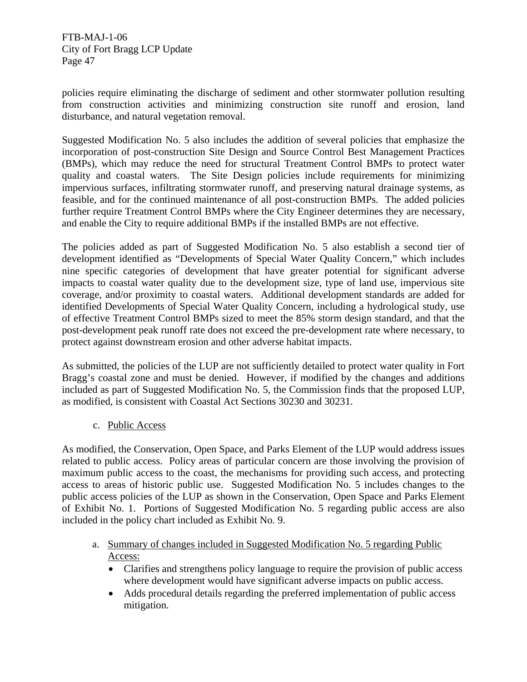policies require eliminating the discharge of sediment and other stormwater pollution resulting from construction activities and minimizing construction site runoff and erosion, land disturbance, and natural vegetation removal.

Suggested Modification No. 5 also includes the addition of several policies that emphasize the incorporation of post-construction Site Design and Source Control Best Management Practices (BMPs), which may reduce the need for structural Treatment Control BMPs to protect water quality and coastal waters. The Site Design policies include requirements for minimizing impervious surfaces, infiltrating stormwater runoff, and preserving natural drainage systems, as feasible, and for the continued maintenance of all post-construction BMPs. The added policies further require Treatment Control BMPs where the City Engineer determines they are necessary, and enable the City to require additional BMPs if the installed BMPs are not effective.

The policies added as part of Suggested Modification No. 5 also establish a second tier of development identified as "Developments of Special Water Quality Concern," which includes nine specific categories of development that have greater potential for significant adverse impacts to coastal water quality due to the development size, type of land use, impervious site coverage, and/or proximity to coastal waters. Additional development standards are added for identified Developments of Special Water Quality Concern, including a hydrological study, use of effective Treatment Control BMPs sized to meet the 85% storm design standard, and that the post-development peak runoff rate does not exceed the pre-development rate where necessary, to protect against downstream erosion and other adverse habitat impacts.

As submitted, the policies of the LUP are not sufficiently detailed to protect water quality in Fort Bragg's coastal zone and must be denied. However, if modified by the changes and additions included as part of Suggested Modification No. 5, the Commission finds that the proposed LUP, as modified, is consistent with Coastal Act Sections 30230 and 30231.

c. Public Access

As modified, the Conservation, Open Space, and Parks Element of the LUP would address issues related to public access. Policy areas of particular concern are those involving the provision of maximum public access to the coast, the mechanisms for providing such access, and protecting access to areas of historic public use. Suggested Modification No. 5 includes changes to the public access policies of the LUP as shown in the Conservation, Open Space and Parks Element of Exhibit No. 1. Portions of Suggested Modification No. 5 regarding public access are also included in the policy chart included as Exhibit No. 9.

- a. Summary of changes included in Suggested Modification No. 5 regarding Public Access:
	- Clarifies and strengthens policy language to require the provision of public access where development would have significant adverse impacts on public access.
	- Adds procedural details regarding the preferred implementation of public access mitigation.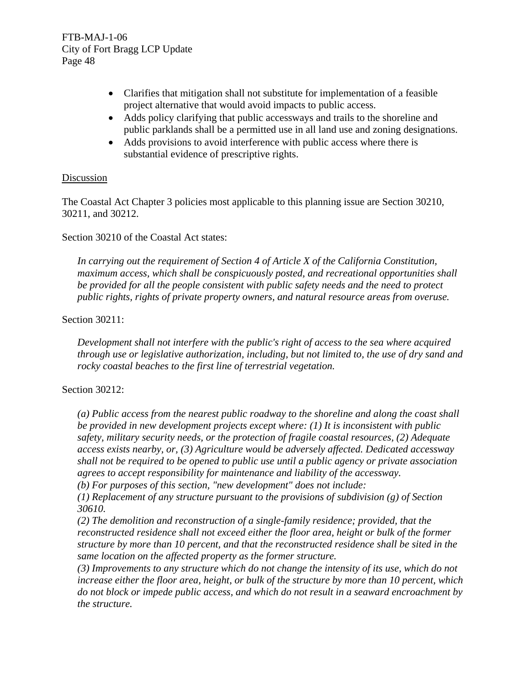- Clarifies that mitigation shall not substitute for implementation of a feasible project alternative that would avoid impacts to public access.
- Adds policy clarifying that public accessways and trails to the shoreline and public parklands shall be a permitted use in all land use and zoning designations.
- Adds provisions to avoid interference with public access where there is substantial evidence of prescriptive rights.

## **Discussion**

The Coastal Act Chapter 3 policies most applicable to this planning issue are Section 30210, 30211, and 30212.

Section 30210 of the Coastal Act states:

*In carrying out the requirement of Section 4 of Article X of the California Constitution, maximum access, which shall be conspicuously posted, and recreational opportunities shall be provided for all the people consistent with public safety needs and the need to protect public rights, rights of private property owners, and natural resource areas from overuse.* 

## Section 30211:

*Development shall not interfere with the public's right of access to the sea where acquired through use or legislative authorization, including, but not limited to, the use of dry sand and rocky coastal beaches to the first line of terrestrial vegetation.* 

# Section 30212:

*(a) Public access from the nearest public roadway to the shoreline and along the coast shall be provided in new development projects except where: (1) It is inconsistent with public safety, military security needs, or the protection of fragile coastal resources, (2) Adequate access exists nearby, or, (3) Agriculture would be adversely affected. Dedicated accessway shall not be required to be opened to public use until a public agency or private association agrees to accept responsibility for maintenance and liability of the accessway.* 

*(b) For purposes of this section, "new development" does not include:* 

*(1) Replacement of any structure pursuant to the provisions of subdivision (g) of Section 30610.* 

*(2) The demolition and reconstruction of a single-family residence; provided, that the reconstructed residence shall not exceed either the floor area, height or bulk of the former structure by more than 10 percent, and that the reconstructed residence shall be sited in the same location on the affected property as the former structure.* 

*(3) Improvements to any structure which do not change the intensity of its use, which do not increase either the floor area, height, or bulk of the structure by more than 10 percent, which do not block or impede public access, and which do not result in a seaward encroachment by the structure.*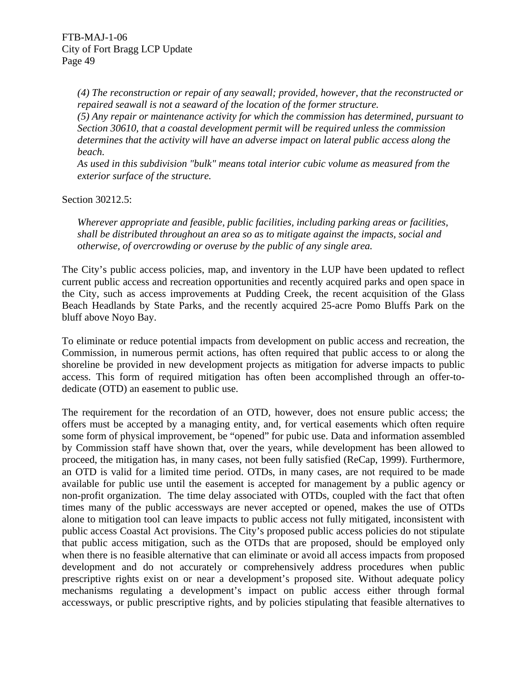*(4) The reconstruction or repair of any seawall; provided, however, that the reconstructed or repaired seawall is not a seaward of the location of the former structure.* 

*(5) Any repair or maintenance activity for which the commission has determined, pursuant to Section 30610, that a coastal development permit will be required unless the commission determines that the activity will have an adverse impact on lateral public access along the beach.* 

*As used in this subdivision "bulk" means total interior cubic volume as measured from the exterior surface of the structure.* 

Section 30212.5:

*Wherever appropriate and feasible, public facilities, including parking areas or facilities, shall be distributed throughout an area so as to mitigate against the impacts, social and otherwise, of overcrowding or overuse by the public of any single area.* 

The City's public access policies, map, and inventory in the LUP have been updated to reflect current public access and recreation opportunities and recently acquired parks and open space in the City, such as access improvements at Pudding Creek, the recent acquisition of the Glass Beach Headlands by State Parks, and the recently acquired 25-acre Pomo Bluffs Park on the bluff above Noyo Bay.

To eliminate or reduce potential impacts from development on public access and recreation, the Commission, in numerous permit actions, has often required that public access to or along the shoreline be provided in new development projects as mitigation for adverse impacts to public access. This form of required mitigation has often been accomplished through an offer-todedicate (OTD) an easement to public use.

The requirement for the recordation of an OTD, however, does not ensure public access; the offers must be accepted by a managing entity, and, for vertical easements which often require some form of physical improvement, be "opened" for pubic use. Data and information assembled by Commission staff have shown that, over the years, while development has been allowed to proceed, the mitigation has, in many cases, not been fully satisfied (ReCap, 1999). Furthermore, an OTD is valid for a limited time period. OTDs, in many cases, are not required to be made available for public use until the easement is accepted for management by a public agency or non-profit organization. The time delay associated with OTDs, coupled with the fact that often times many of the public accessways are never accepted or opened, makes the use of OTDs alone to mitigation tool can leave impacts to public access not fully mitigated, inconsistent with public access Coastal Act provisions. The City's proposed public access policies do not stipulate that public access mitigation, such as the OTDs that are proposed, should be employed only when there is no feasible alternative that can eliminate or avoid all access impacts from proposed development and do not accurately or comprehensively address procedures when public prescriptive rights exist on or near a development's proposed site. Without adequate policy mechanisms regulating a development's impact on public access either through formal accessways, or public prescriptive rights, and by policies stipulating that feasible alternatives to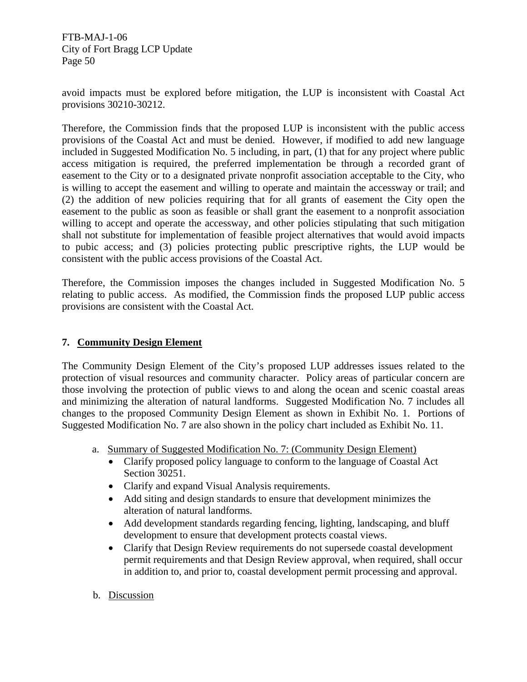avoid impacts must be explored before mitigation, the LUP is inconsistent with Coastal Act provisions 30210-30212.

Therefore, the Commission finds that the proposed LUP is inconsistent with the public access provisions of the Coastal Act and must be denied. However, if modified to add new language included in Suggested Modification No. 5 including, in part, (1) that for any project where public access mitigation is required, the preferred implementation be through a recorded grant of easement to the City or to a designated private nonprofit association acceptable to the City, who is willing to accept the easement and willing to operate and maintain the accessway or trail; and (2) the addition of new policies requiring that for all grants of easement the City open the easement to the public as soon as feasible or shall grant the easement to a nonprofit association willing to accept and operate the accessway, and other policies stipulating that such mitigation shall not substitute for implementation of feasible project alternatives that would avoid impacts to pubic access; and (3) policies protecting public prescriptive rights, the LUP would be consistent with the public access provisions of the Coastal Act.

Therefore, the Commission imposes the changes included in Suggested Modification No. 5 relating to public access. As modified, the Commission finds the proposed LUP public access provisions are consistent with the Coastal Act.

## **7. Community Design Element**

The Community Design Element of the City's proposed LUP addresses issues related to the protection of visual resources and community character. Policy areas of particular concern are those involving the protection of public views to and along the ocean and scenic coastal areas and minimizing the alteration of natural landforms. Suggested Modification No. 7 includes all changes to the proposed Community Design Element as shown in Exhibit No. 1. Portions of Suggested Modification No. 7 are also shown in the policy chart included as Exhibit No. 11.

- a. Summary of Suggested Modification No. 7: (Community Design Element)
	- Clarify proposed policy language to conform to the language of Coastal Act Section 30251.
	- Clarify and expand Visual Analysis requirements.
	- Add siting and design standards to ensure that development minimizes the alteration of natural landforms.
	- Add development standards regarding fencing, lighting, landscaping, and bluff development to ensure that development protects coastal views.
	- Clarify that Design Review requirements do not supersede coastal development permit requirements and that Design Review approval, when required, shall occur in addition to, and prior to, coastal development permit processing and approval.
- b. Discussion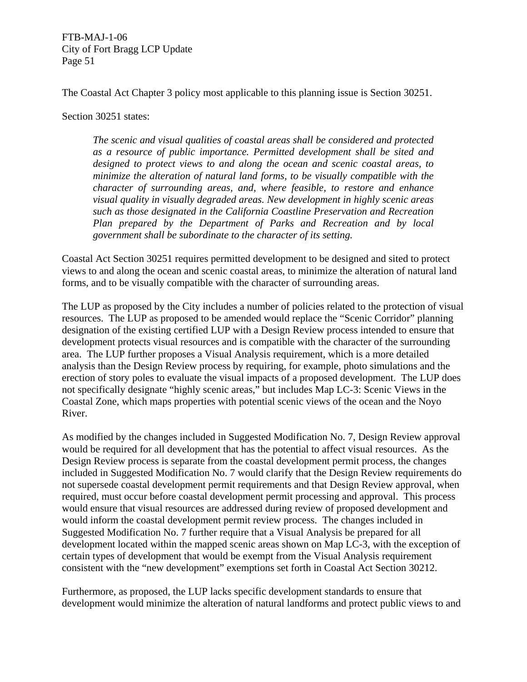The Coastal Act Chapter 3 policy most applicable to this planning issue is Section 30251.

Section 30251 states:

*The scenic and visual qualities of coastal areas shall be considered and protected as a resource of public importance. Permitted development shall be sited and designed to protect views to and along the ocean and scenic coastal areas, to minimize the alteration of natural land forms, to be visually compatible with the character of surrounding areas, and, where feasible, to restore and enhance visual quality in visually degraded areas. New development in highly scenic areas such as those designated in the California Coastline Preservation and Recreation Plan prepared by the Department of Parks and Recreation and by local government shall be subordinate to the character of its setting.* 

Coastal Act Section 30251 requires permitted development to be designed and sited to protect views to and along the ocean and scenic coastal areas, to minimize the alteration of natural land forms, and to be visually compatible with the character of surrounding areas.

The LUP as proposed by the City includes a number of policies related to the protection of visual resources. The LUP as proposed to be amended would replace the "Scenic Corridor" planning designation of the existing certified LUP with a Design Review process intended to ensure that development protects visual resources and is compatible with the character of the surrounding area. The LUP further proposes a Visual Analysis requirement, which is a more detailed analysis than the Design Review process by requiring, for example, photo simulations and the erection of story poles to evaluate the visual impacts of a proposed development. The LUP does not specifically designate "highly scenic areas," but includes Map LC-3: Scenic Views in the Coastal Zone, which maps properties with potential scenic views of the ocean and the Noyo River.

As modified by the changes included in Suggested Modification No. 7, Design Review approval would be required for all development that has the potential to affect visual resources. As the Design Review process is separate from the coastal development permit process, the changes included in Suggested Modification No. 7 would clarify that the Design Review requirements do not supersede coastal development permit requirements and that Design Review approval, when required, must occur before coastal development permit processing and approval. This process would ensure that visual resources are addressed during review of proposed development and would inform the coastal development permit review process. The changes included in Suggested Modification No. 7 further require that a Visual Analysis be prepared for all development located within the mapped scenic areas shown on Map LC-3, with the exception of certain types of development that would be exempt from the Visual Analysis requirement consistent with the "new development" exemptions set forth in Coastal Act Section 30212.

Furthermore, as proposed, the LUP lacks specific development standards to ensure that development would minimize the alteration of natural landforms and protect public views to and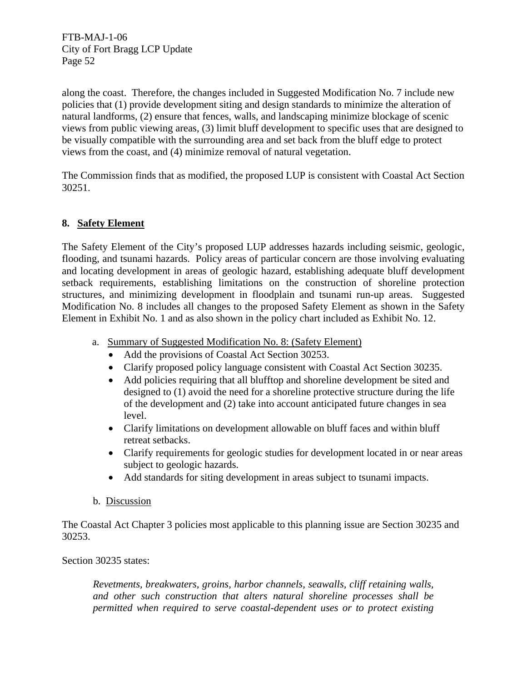along the coast. Therefore, the changes included in Suggested Modification No. 7 include new policies that (1) provide development siting and design standards to minimize the alteration of natural landforms, (2) ensure that fences, walls, and landscaping minimize blockage of scenic views from public viewing areas, (3) limit bluff development to specific uses that are designed to be visually compatible with the surrounding area and set back from the bluff edge to protect views from the coast, and (4) minimize removal of natural vegetation.

The Commission finds that as modified, the proposed LUP is consistent with Coastal Act Section 30251.

# **8. Safety Element**

The Safety Element of the City's proposed LUP addresses hazards including seismic, geologic, flooding, and tsunami hazards. Policy areas of particular concern are those involving evaluating and locating development in areas of geologic hazard, establishing adequate bluff development setback requirements, establishing limitations on the construction of shoreline protection structures, and minimizing development in floodplain and tsunami run-up areas. Suggested Modification No. 8 includes all changes to the proposed Safety Element as shown in the Safety Element in Exhibit No. 1 and as also shown in the policy chart included as Exhibit No. 12.

- a. Summary of Suggested Modification No. 8: (Safety Element)
	- Add the provisions of Coastal Act Section 30253.
	- Clarify proposed policy language consistent with Coastal Act Section 30235.
	- Add policies requiring that all blufftop and shoreline development be sited and designed to (1) avoid the need for a shoreline protective structure during the life of the development and (2) take into account anticipated future changes in sea level.
	- Clarify limitations on development allowable on bluff faces and within bluff retreat setbacks.
	- Clarify requirements for geologic studies for development located in or near areas subject to geologic hazards.
	- Add standards for siting development in areas subject to tsunami impacts.

# b. Discussion

The Coastal Act Chapter 3 policies most applicable to this planning issue are Section 30235 and 30253.

# Section 30235 states:

*Revetments, breakwaters, groins, harbor channels, seawalls, cliff retaining walls, and other such construction that alters natural shoreline processes shall be permitted when required to serve coastal-dependent uses or to protect existing*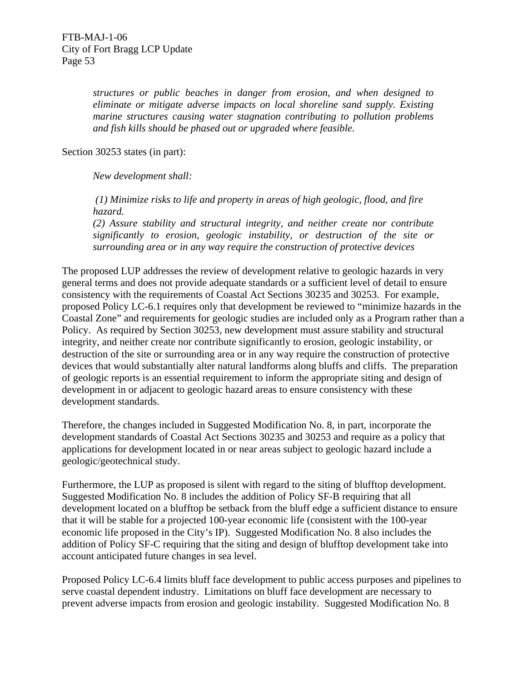*structures or public beaches in danger from erosion, and when designed to eliminate or mitigate adverse impacts on local shoreline sand supply. Existing marine structures causing water stagnation contributing to pollution problems and fish kills should be phased out or upgraded where feasible.* 

Section 30253 states (in part):

*New development shall:* 

 *(1) Minimize risks to life and property in areas of high geologic, flood, and fire hazard.* 

*(2) Assure stability and structural integrity, and neither create nor contribute significantly to erosion, geologic instability, or destruction of the site or surrounding area or in any way require the construction of protective devices* 

The proposed LUP addresses the review of development relative to geologic hazards in very general terms and does not provide adequate standards or a sufficient level of detail to ensure consistency with the requirements of Coastal Act Sections 30235 and 30253. For example, proposed Policy LC-6.1 requires only that development be reviewed to "minimize hazards in the Coastal Zone" and requirements for geologic studies are included only as a Program rather than a Policy. As required by Section 30253, new development must assure stability and structural integrity, and neither create nor contribute significantly to erosion, geologic instability, or destruction of the site or surrounding area or in any way require the construction of protective devices that would substantially alter natural landforms along bluffs and cliffs. The preparation of geologic reports is an essential requirement to inform the appropriate siting and design of development in or adjacent to geologic hazard areas to ensure consistency with these development standards.

Therefore, the changes included in Suggested Modification No. 8, in part, incorporate the development standards of Coastal Act Sections 30235 and 30253 and require as a policy that applications for development located in or near areas subject to geologic hazard include a geologic/geotechnical study.

Furthermore, the LUP as proposed is silent with regard to the siting of blufftop development. Suggested Modification No. 8 includes the addition of Policy SF-B requiring that all development located on a blufftop be setback from the bluff edge a sufficient distance to ensure that it will be stable for a projected 100-year economic life (consistent with the 100-year economic life proposed in the City's IP). Suggested Modification No. 8 also includes the addition of Policy SF-C requiring that the siting and design of blufftop development take into account anticipated future changes in sea level.

Proposed Policy LC-6.4 limits bluff face development to public access purposes and pipelines to serve coastal dependent industry. Limitations on bluff face development are necessary to prevent adverse impacts from erosion and geologic instability. Suggested Modification No. 8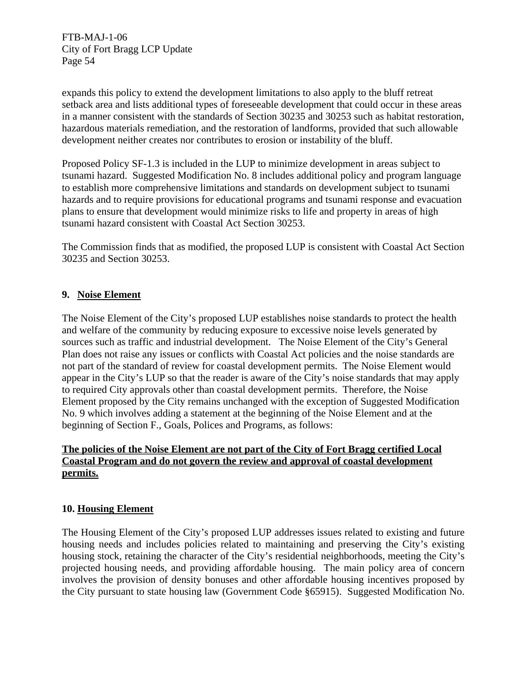expands this policy to extend the development limitations to also apply to the bluff retreat setback area and lists additional types of foreseeable development that could occur in these areas in a manner consistent with the standards of Section 30235 and 30253 such as habitat restoration, hazardous materials remediation, and the restoration of landforms, provided that such allowable development neither creates nor contributes to erosion or instability of the bluff.

Proposed Policy SF-1.3 is included in the LUP to minimize development in areas subject to tsunami hazard. Suggested Modification No. 8 includes additional policy and program language to establish more comprehensive limitations and standards on development subject to tsunami hazards and to require provisions for educational programs and tsunami response and evacuation plans to ensure that development would minimize risks to life and property in areas of high tsunami hazard consistent with Coastal Act Section 30253.

The Commission finds that as modified, the proposed LUP is consistent with Coastal Act Section 30235 and Section 30253.

## **9. Noise Element**

The Noise Element of the City's proposed LUP establishes noise standards to protect the health and welfare of the community by reducing exposure to excessive noise levels generated by sources such as traffic and industrial development. The Noise Element of the City's General Plan does not raise any issues or conflicts with Coastal Act policies and the noise standards are not part of the standard of review for coastal development permits. The Noise Element would appear in the City's LUP so that the reader is aware of the City's noise standards that may apply to required City approvals other than coastal development permits. Therefore, the Noise Element proposed by the City remains unchanged with the exception of Suggested Modification No. 9 which involves adding a statement at the beginning of the Noise Element and at the beginning of Section F., Goals, Polices and Programs, as follows:

# **The policies of the Noise Element are not part of the City of Fort Bragg certified Local Coastal Program and do not govern the review and approval of coastal development permits.**

# **10. Housing Element**

The Housing Element of the City's proposed LUP addresses issues related to existing and future housing needs and includes policies related to maintaining and preserving the City's existing housing stock, retaining the character of the City's residential neighborhoods, meeting the City's projected housing needs, and providing affordable housing. The main policy area of concern involves the provision of density bonuses and other affordable housing incentives proposed by the City pursuant to state housing law (Government Code §65915). Suggested Modification No.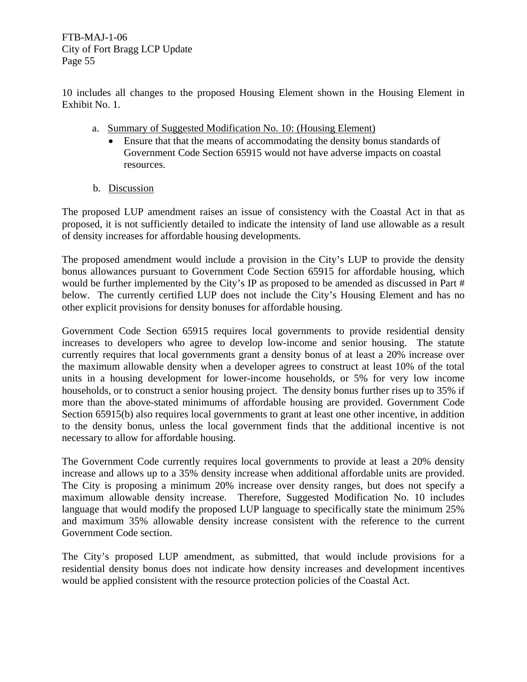10 includes all changes to the proposed Housing Element shown in the Housing Element in Exhibit No. 1.

- a. Summary of Suggested Modification No. 10: (Housing Element)
	- Ensure that that the means of accommodating the density bonus standards of Government Code Section 65915 would not have adverse impacts on coastal resources.
- b. Discussion

The proposed LUP amendment raises an issue of consistency with the Coastal Act in that as proposed, it is not sufficiently detailed to indicate the intensity of land use allowable as a result of density increases for affordable housing developments.

The proposed amendment would include a provision in the City's LUP to provide the density bonus allowances pursuant to Government Code Section 65915 for affordable housing, which would be further implemented by the City's IP as proposed to be amended as discussed in Part # below. The currently certified LUP does not include the City's Housing Element and has no other explicit provisions for density bonuses for affordable housing.

Government Code Section 65915 requires local governments to provide residential density increases to developers who agree to develop low-income and senior housing. The statute currently requires that local governments grant a density bonus of at least a 20% increase over the maximum allowable density when a developer agrees to construct at least 10% of the total units in a housing development for lower-income households, or 5% for very low income households, or to construct a senior housing project. The density bonus further rises up to 35% if more than the above-stated minimums of affordable housing are provided. Government Code Section 65915(b) also requires local governments to grant at least one other incentive, in addition to the density bonus, unless the local government finds that the additional incentive is not necessary to allow for affordable housing.

The Government Code currently requires local governments to provide at least a 20% density increase and allows up to a 35% density increase when additional affordable units are provided. The City is proposing a minimum 20% increase over density ranges, but does not specify a maximum allowable density increase. Therefore, Suggested Modification No. 10 includes language that would modify the proposed LUP language to specifically state the minimum 25% and maximum 35% allowable density increase consistent with the reference to the current Government Code section.

The City's proposed LUP amendment, as submitted, that would include provisions for a residential density bonus does not indicate how density increases and development incentives would be applied consistent with the resource protection policies of the Coastal Act.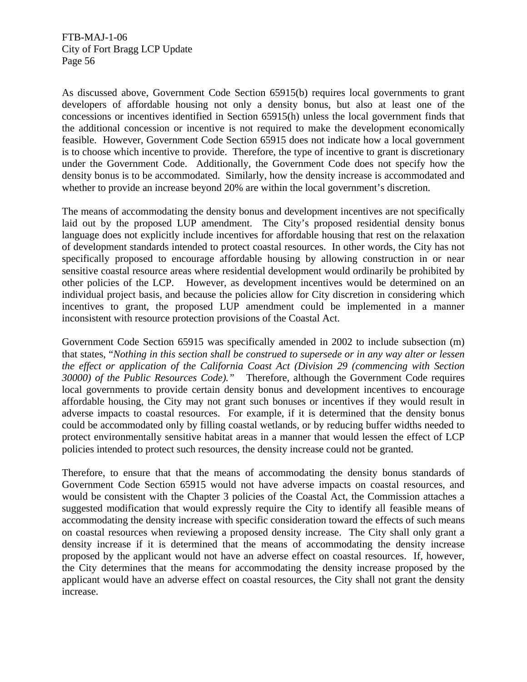As discussed above, Government Code Section 65915(b) requires local governments to grant developers of affordable housing not only a density bonus, but also at least one of the concessions or incentives identified in Section 65915(h) unless the local government finds that the additional concession or incentive is not required to make the development economically feasible. However, Government Code Section 65915 does not indicate how a local government is to choose which incentive to provide. Therefore, the type of incentive to grant is discretionary under the Government Code. Additionally, the Government Code does not specify how the density bonus is to be accommodated. Similarly, how the density increase is accommodated and whether to provide an increase beyond 20% are within the local government's discretion.

The means of accommodating the density bonus and development incentives are not specifically laid out by the proposed LUP amendment. The City's proposed residential density bonus language does not explicitly include incentives for affordable housing that rest on the relaxation of development standards intended to protect coastal resources. In other words, the City has not specifically proposed to encourage affordable housing by allowing construction in or near sensitive coastal resource areas where residential development would ordinarily be prohibited by other policies of the LCP. However, as development incentives would be determined on an individual project basis, and because the policies allow for City discretion in considering which incentives to grant, the proposed LUP amendment could be implemented in a manner inconsistent with resource protection provisions of the Coastal Act.

Government Code Section 65915 was specifically amended in 2002 to include subsection (m) that states, "*Nothing in this section shall be construed to supersede or in any way alter or lessen the effect or application of the California Coast Act (Division 29 (commencing with Section 30000) of the Public Resources Code)."* Therefore, although the Government Code requires local governments to provide certain density bonus and development incentives to encourage affordable housing, the City may not grant such bonuses or incentives if they would result in adverse impacts to coastal resources. For example, if it is determined that the density bonus could be accommodated only by filling coastal wetlands, or by reducing buffer widths needed to protect environmentally sensitive habitat areas in a manner that would lessen the effect of LCP policies intended to protect such resources, the density increase could not be granted.

Therefore, to ensure that that the means of accommodating the density bonus standards of Government Code Section 65915 would not have adverse impacts on coastal resources, and would be consistent with the Chapter 3 policies of the Coastal Act, the Commission attaches a suggested modification that would expressly require the City to identify all feasible means of accommodating the density increase with specific consideration toward the effects of such means on coastal resources when reviewing a proposed density increase. The City shall only grant a density increase if it is determined that the means of accommodating the density increase proposed by the applicant would not have an adverse effect on coastal resources. If, however, the City determines that the means for accommodating the density increase proposed by the applicant would have an adverse effect on coastal resources, the City shall not grant the density increase.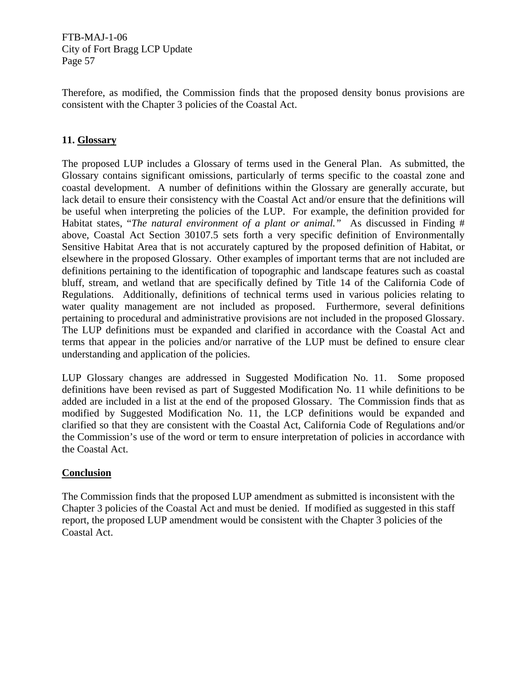Therefore, as modified, the Commission finds that the proposed density bonus provisions are consistent with the Chapter 3 policies of the Coastal Act.

# **11. Glossary**

The proposed LUP includes a Glossary of terms used in the General Plan. As submitted, the Glossary contains significant omissions, particularly of terms specific to the coastal zone and coastal development. A number of definitions within the Glossary are generally accurate, but lack detail to ensure their consistency with the Coastal Act and/or ensure that the definitions will be useful when interpreting the policies of the LUP. For example, the definition provided for Habitat states, "*The natural environment of a plant or animal."* As discussed in Finding # above, Coastal Act Section 30107.5 sets forth a very specific definition of Environmentally Sensitive Habitat Area that is not accurately captured by the proposed definition of Habitat, or elsewhere in the proposed Glossary. Other examples of important terms that are not included are definitions pertaining to the identification of topographic and landscape features such as coastal bluff, stream, and wetland that are specifically defined by Title 14 of the California Code of Regulations. Additionally, definitions of technical terms used in various policies relating to water quality management are not included as proposed. Furthermore, several definitions pertaining to procedural and administrative provisions are not included in the proposed Glossary. The LUP definitions must be expanded and clarified in accordance with the Coastal Act and terms that appear in the policies and/or narrative of the LUP must be defined to ensure clear understanding and application of the policies.

LUP Glossary changes are addressed in Suggested Modification No. 11. Some proposed definitions have been revised as part of Suggested Modification No. 11 while definitions to be added are included in a list at the end of the proposed Glossary. The Commission finds that as modified by Suggested Modification No. 11, the LCP definitions would be expanded and clarified so that they are consistent with the Coastal Act, California Code of Regulations and/or the Commission's use of the word or term to ensure interpretation of policies in accordance with the Coastal Act.

## **Conclusion**

The Commission finds that the proposed LUP amendment as submitted is inconsistent with the Chapter 3 policies of the Coastal Act and must be denied. If modified as suggested in this staff report, the proposed LUP amendment would be consistent with the Chapter 3 policies of the Coastal Act.